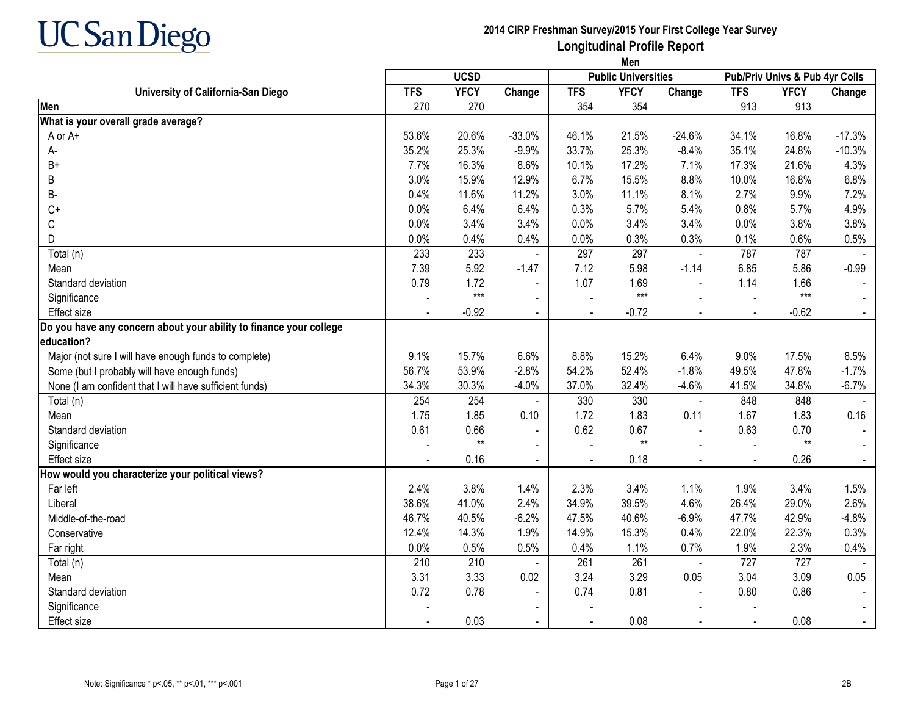

**Men**

|                                                                    |            | <b>UCSD</b> |                |                | <b>Public Universities</b> |                |            | Pub/Priv Univs & Pub 4yr Colls |          |
|--------------------------------------------------------------------|------------|-------------|----------------|----------------|----------------------------|----------------|------------|--------------------------------|----------|
| University of California-San Diego                                 | <b>TFS</b> | <b>YFCY</b> | Change         | <b>TFS</b>     | <b>YFCY</b>                | Change         | <b>TFS</b> | <b>YFCY</b>                    | Change   |
| Men                                                                | 270        | 270         |                | 354            | 354                        |                | 913        | 913                            |          |
| What is your overall grade average?                                |            |             |                |                |                            |                |            |                                |          |
| A or A+                                                            | 53.6%      | 20.6%       | $-33.0%$       | 46.1%          | 21.5%                      | $-24.6%$       | 34.1%      | 16.8%                          | $-17.3%$ |
| А-                                                                 | 35.2%      | 25.3%       | $-9.9%$        | 33.7%          | 25.3%                      | $-8.4%$        | 35.1%      | 24.8%                          | $-10.3%$ |
| $B+$                                                               | 7.7%       | 16.3%       | 8.6%           | 10.1%          | 17.2%                      | 7.1%           | 17.3%      | 21.6%                          | 4.3%     |
| B                                                                  | 3.0%       | 15.9%       | 12.9%          | 6.7%           | 15.5%                      | 8.8%           | 10.0%      | 16.8%                          | 6.8%     |
| В-                                                                 | 0.4%       | 11.6%       | 11.2%          | 3.0%           | 11.1%                      | 8.1%           | 2.7%       | 9.9%                           | 7.2%     |
| $C+$                                                               | 0.0%       | 6.4%        | 6.4%           | 0.3%           | 5.7%                       | 5.4%           | 0.8%       | 5.7%                           | 4.9%     |
| C                                                                  | 0.0%       | 3.4%        | 3.4%           | 0.0%           | 3.4%                       | 3.4%           | 0.0%       | 3.8%                           | 3.8%     |
| D                                                                  | 0.0%       | 0.4%        | 0.4%           | 0.0%           | 0.3%                       | 0.3%           | 0.1%       | 0.6%                           | 0.5%     |
| Total (n)                                                          | 233        | 233         | $\blacksquare$ | 297            | 297                        | $\blacksquare$ | 787        | 787                            |          |
| Mean                                                               | 7.39       | 5.92        | $-1.47$        | 7.12           | 5.98                       | $-1.14$        | 6.85       | 5.86                           | $-0.99$  |
| Standard deviation                                                 | 0.79       | 1.72        | $\blacksquare$ | 1.07           | 1.69                       | $\blacksquare$ | 1.14       | 1.66                           |          |
| Significance                                                       |            | $***$       | $\blacksquare$ |                | $***$                      | $\blacksquare$ |            | $***$                          |          |
| <b>Effect size</b>                                                 |            | $-0.92$     | $\sim$         |                | $-0.72$                    | $\sim$         |            | $-0.62$                        | $\sim$   |
| Do you have any concern about your ability to finance your college |            |             |                |                |                            |                |            |                                |          |
| education?                                                         |            |             |                |                |                            |                |            |                                |          |
| Major (not sure I will have enough funds to complete)              | 9.1%       | 15.7%       | 6.6%           | 8.8%           | 15.2%                      | 6.4%           | 9.0%       | 17.5%                          | 8.5%     |
| Some (but I probably will have enough funds)                       | 56.7%      | 53.9%       | $-2.8%$        | 54.2%          | 52.4%                      | $-1.8%$        | 49.5%      | 47.8%                          | $-1.7%$  |
| None (I am confident that I will have sufficient funds)            | 34.3%      | 30.3%       | $-4.0%$        | 37.0%          | 32.4%                      | $-4.6%$        | 41.5%      | 34.8%                          | $-6.7%$  |
| Total (n)                                                          | 254        | 254         |                | 330            | 330                        | $\blacksquare$ | 848        | 848                            |          |
| Mean                                                               | 1.75       | 1.85        | 0.10           | 1.72           | 1.83                       | 0.11           | 1.67       | 1.83                           | 0.16     |
| Standard deviation                                                 | 0.61       | 0.66        |                | 0.62           | 0.67                       |                | 0.63       | 0.70                           |          |
| Significance                                                       |            | $**$        |                |                | $**$                       |                |            | $**$                           |          |
| <b>Effect size</b>                                                 |            | 0.16        |                | $\overline{a}$ | 0.18                       |                |            | 0.26                           | $\sim$   |
| How would you characterize your political views?                   |            |             |                |                |                            |                |            |                                |          |
| Far left                                                           | 2.4%       | 3.8%        | 1.4%           | 2.3%           | 3.4%                       | 1.1%           | 1.9%       | 3.4%                           | 1.5%     |
| Liberal                                                            | 38.6%      | 41.0%       | 2.4%           | 34.9%          | 39.5%                      | 4.6%           | 26.4%      | 29.0%                          | 2.6%     |
| Middle-of-the-road                                                 | 46.7%      | 40.5%       | $-6.2%$        | 47.5%          | 40.6%                      | $-6.9%$        | 47.7%      | 42.9%                          | $-4.8%$  |
| Conservative                                                       | 12.4%      | 14.3%       | 1.9%           | 14.9%          | 15.3%                      | 0.4%           | 22.0%      | 22.3%                          | 0.3%     |
| Far right                                                          | 0.0%       | 0.5%        | 0.5%           | 0.4%           | 1.1%                       | 0.7%           | 1.9%       | 2.3%                           | 0.4%     |
| Total (n)                                                          | 210        | 210         |                | 261            | 261                        | $\blacksquare$ | 727        | 727                            |          |
| Mean                                                               | 3.31       | 3.33        | 0.02           | 3.24           | 3.29                       | 0.05           | 3.04       | 3.09                           | 0.05     |
| Standard deviation                                                 | 0.72       | 0.78        |                | 0.74           | 0.81                       |                | 0.80       | 0.86                           |          |
| Significance                                                       |            |             |                |                |                            |                |            |                                |          |
| <b>Effect size</b>                                                 |            | 0.03        |                |                | 0.08                       |                |            | 0.08                           | $\sim$   |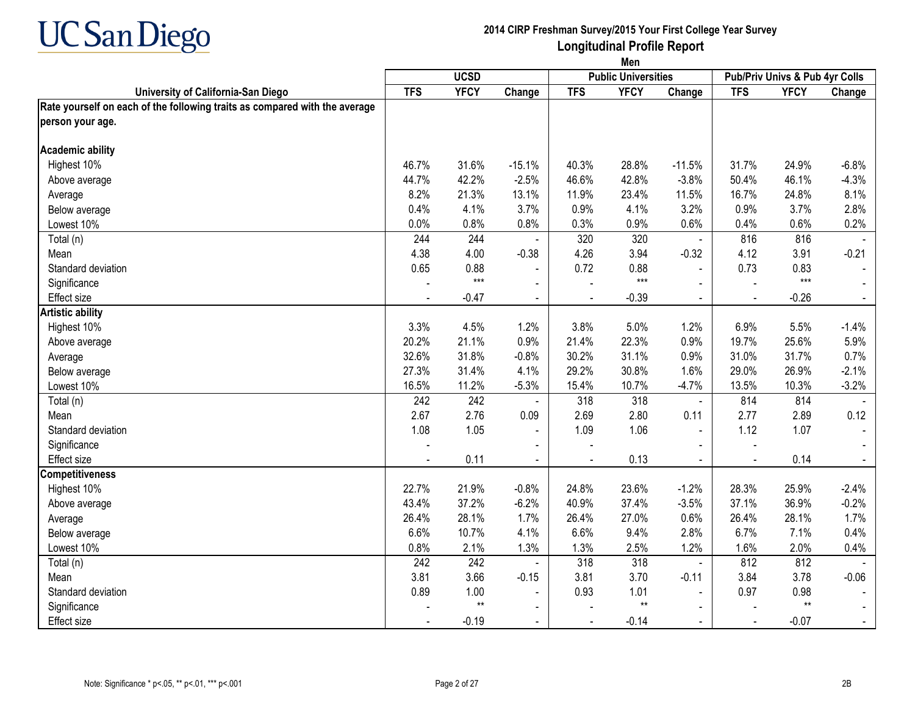

|                                                                            | Men        |             |                |                |                            |                |                |                                |                |
|----------------------------------------------------------------------------|------------|-------------|----------------|----------------|----------------------------|----------------|----------------|--------------------------------|----------------|
|                                                                            |            | <b>UCSD</b> |                |                | <b>Public Universities</b> |                |                | Pub/Priv Univs & Pub 4yr Colls |                |
| University of California-San Diego                                         | <b>TFS</b> | <b>YFCY</b> | Change         | <b>TFS</b>     | <b>YFCY</b>                | Change         | <b>TFS</b>     | <b>YFCY</b>                    | Change         |
| Rate yourself on each of the following traits as compared with the average |            |             |                |                |                            |                |                |                                |                |
| person your age.                                                           |            |             |                |                |                            |                |                |                                |                |
| <b>Academic ability</b>                                                    |            |             |                |                |                            |                |                |                                |                |
| Highest 10%                                                                | 46.7%      | 31.6%       | $-15.1%$       | 40.3%          | 28.8%                      | $-11.5%$       | 31.7%          | 24.9%                          | $-6.8%$        |
| Above average                                                              | 44.7%      | 42.2%       | $-2.5%$        | 46.6%          | 42.8%                      | $-3.8%$        | 50.4%          | 46.1%                          | $-4.3%$        |
| Average                                                                    | 8.2%       | 21.3%       | 13.1%          | 11.9%          | 23.4%                      | 11.5%          | 16.7%          | 24.8%                          | 8.1%           |
| Below average                                                              | 0.4%       | 4.1%        | 3.7%           | 0.9%           | 4.1%                       | 3.2%           | 0.9%           | 3.7%                           | 2.8%           |
| Lowest 10%                                                                 | 0.0%       | 0.8%        | 0.8%           | 0.3%           | 0.9%                       | 0.6%           | 0.4%           | 0.6%                           | 0.2%           |
| Total (n)                                                                  | 244        | 244         |                | 320            | 320                        | $\omega$       | 816            | 816                            |                |
| Mean                                                                       | 4.38       | 4.00        | $-0.38$        | 4.26           | 3.94                       | $-0.32$        | 4.12           | 3.91                           | $-0.21$        |
| Standard deviation                                                         | 0.65       | 0.88        | $\blacksquare$ | 0.72           | 0.88                       | $\overline{a}$ | 0.73           | 0.83                           |                |
| Significance                                                               |            | $***$       | $\sim$         |                | $***$                      | $\overline{a}$ |                | $***$                          |                |
| <b>Effect size</b>                                                         |            | $-0.47$     | $\sim$         | $\blacksquare$ | $-0.39$                    | $\blacksquare$ | $\blacksquare$ | $-0.26$                        | $\sim$         |
| <b>Artistic ability</b>                                                    |            |             |                |                |                            |                |                |                                |                |
| Highest 10%                                                                | 3.3%       | 4.5%        | 1.2%           | 3.8%           | 5.0%                       | 1.2%           | 6.9%           | 5.5%                           | $-1.4%$        |
| Above average                                                              | 20.2%      | 21.1%       | 0.9%           | 21.4%          | 22.3%                      | 0.9%           | 19.7%          | 25.6%                          | 5.9%           |
| Average                                                                    | 32.6%      | 31.8%       | $-0.8%$        | 30.2%          | 31.1%                      | 0.9%           | 31.0%          | 31.7%                          | 0.7%           |
| Below average                                                              | 27.3%      | 31.4%       | 4.1%           | 29.2%          | 30.8%                      | 1.6%           | 29.0%          | 26.9%                          | $-2.1%$        |
| Lowest 10%                                                                 | 16.5%      | 11.2%       | $-5.3%$        | 15.4%          | 10.7%                      | $-4.7%$        | 13.5%          | 10.3%                          | $-3.2%$        |
| Total (n)                                                                  | 242        | 242         |                | 318            | 318                        | $\blacksquare$ | 814            | 814                            |                |
| Mean                                                                       | 2.67       | 2.76        | 0.09           | 2.69           | 2.80                       | 0.11           | 2.77           | 2.89                           | 0.12           |
| Standard deviation                                                         | 1.08       | 1.05        | $\blacksquare$ | 1.09           | 1.06                       | $\blacksquare$ | 1.12           | 1.07                           |                |
| Significance                                                               |            |             |                |                |                            |                |                |                                |                |
| <b>Effect size</b>                                                         |            | 0.11        | $\mathbf{r}$   | $\overline{a}$ | 0.13                       | $\mathbf{r}$   | $\sim$         | 0.14                           | $\blacksquare$ |
| <b>Competitiveness</b>                                                     |            |             |                |                |                            |                |                |                                |                |
| Highest 10%                                                                | 22.7%      | 21.9%       | $-0.8%$        | 24.8%          | 23.6%                      | $-1.2%$        | 28.3%          | 25.9%                          | $-2.4%$        |
| Above average                                                              | 43.4%      | 37.2%       | $-6.2%$        | 40.9%          | 37.4%                      | $-3.5%$        | 37.1%          | 36.9%                          | $-0.2%$        |
| Average                                                                    | 26.4%      | 28.1%       | 1.7%           | 26.4%          | 27.0%                      | 0.6%           | 26.4%          | 28.1%                          | 1.7%           |
| Below average                                                              | 6.6%       | 10.7%       | 4.1%           | 6.6%           | 9.4%                       | 2.8%           | 6.7%           | 7.1%                           | 0.4%           |
| Lowest 10%                                                                 | 0.8%       | 2.1%        | 1.3%           | 1.3%           | 2.5%                       | 1.2%           | 1.6%           | 2.0%                           | 0.4%           |
| Total (n)                                                                  | 242        | 242         |                | 318            | 318                        | $\blacksquare$ | 812            | 812                            |                |
| Mean                                                                       | 3.81       | 3.66        | $-0.15$        | 3.81           | 3.70                       | $-0.11$        | 3.84           | 3.78                           | $-0.06$        |
| Standard deviation                                                         | 0.89       | 1.00        | $\blacksquare$ | 0.93           | 1.01                       |                | 0.97           | 0.98                           |                |
| Significance                                                               |            | $**$        |                |                | $**$                       |                |                | $**$                           |                |
| Effect size                                                                |            | $-0.19$     | $\blacksquare$ |                | $-0.14$                    |                |                | $-0.07$                        |                |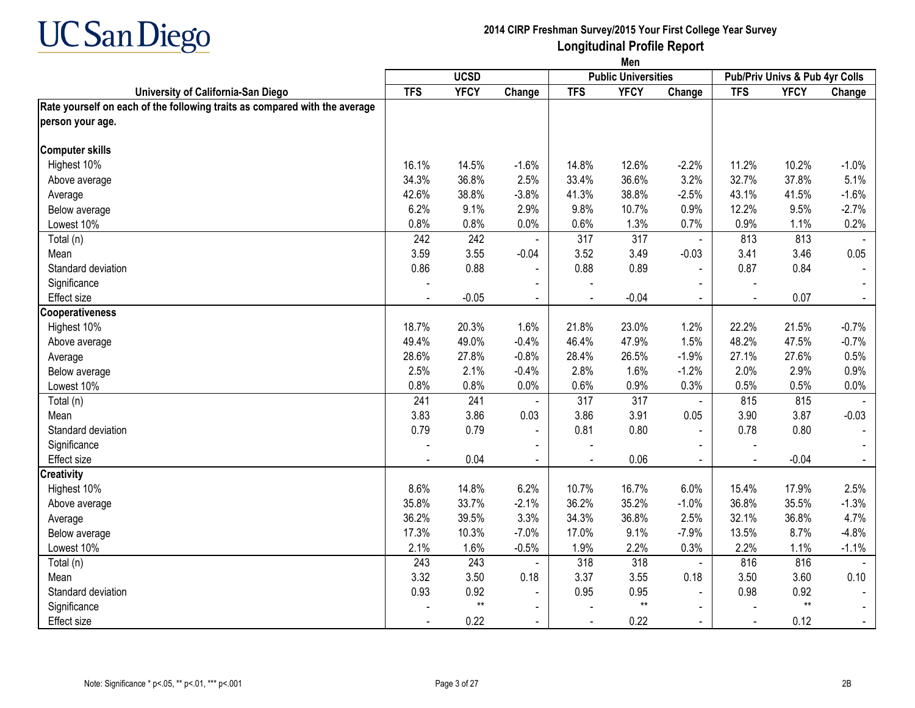

|                                                                            | Men        |              |                |                |                            |                |                |                                |                |
|----------------------------------------------------------------------------|------------|--------------|----------------|----------------|----------------------------|----------------|----------------|--------------------------------|----------------|
|                                                                            |            | <b>UCSD</b>  |                |                | <b>Public Universities</b> |                |                | Pub/Priv Univs & Pub 4yr Colls |                |
| University of California-San Diego                                         | <b>TFS</b> | <b>YFCY</b>  | Change         | <b>TFS</b>     | <b>YFCY</b>                | Change         | <b>TFS</b>     | <b>YFCY</b>                    | Change         |
| Rate yourself on each of the following traits as compared with the average |            |              |                |                |                            |                |                |                                |                |
| person your age.                                                           |            |              |                |                |                            |                |                |                                |                |
| <b>Computer skills</b>                                                     |            |              |                |                |                            |                |                |                                |                |
| Highest 10%                                                                | 16.1%      | 14.5%        | $-1.6%$        | 14.8%          | 12.6%                      | $-2.2%$        | 11.2%          | 10.2%                          | $-1.0%$        |
| Above average                                                              | 34.3%      | 36.8%        | 2.5%           | 33.4%          | 36.6%                      | 3.2%           | 32.7%          | 37.8%                          | 5.1%           |
| Average                                                                    | 42.6%      | 38.8%        | $-3.8%$        | 41.3%          | 38.8%                      | $-2.5%$        | 43.1%          | 41.5%                          | $-1.6%$        |
| Below average                                                              | 6.2%       | 9.1%         | 2.9%           | 9.8%           | 10.7%                      | 0.9%           | 12.2%          | 9.5%                           | $-2.7%$        |
| Lowest 10%                                                                 | 0.8%       | 0.8%         | 0.0%           | 0.6%           | 1.3%                       | 0.7%           | 0.9%           | 1.1%                           | 0.2%           |
| Total (n)                                                                  | 242        | 242          |                | 317            | 317                        | $\blacksquare$ | 813            | 813                            |                |
| Mean                                                                       | 3.59       | 3.55         | $-0.04$        | 3.52           | 3.49                       | $-0.03$        | 3.41           | 3.46                           | 0.05           |
| Standard deviation                                                         | 0.86       | 0.88         |                | 0.88           | 0.89                       | $\blacksquare$ | 0.87           | 0.84                           |                |
| Significance                                                               |            |              | $\blacksquare$ |                |                            |                |                |                                |                |
| <b>Effect</b> size                                                         |            | $-0.05$      | $\blacksquare$ | $\blacksquare$ | $-0.04$                    | $\sim$         | $\blacksquare$ | 0.07                           | $\sim$         |
| Cooperativeness                                                            |            |              |                |                |                            |                |                |                                |                |
| Highest 10%                                                                | 18.7%      | 20.3%        | 1.6%           | 21.8%          | 23.0%                      | 1.2%           | 22.2%          | 21.5%                          | $-0.7%$        |
| Above average                                                              | 49.4%      | 49.0%        | $-0.4%$        | 46.4%          | 47.9%                      | 1.5%           | 48.2%          | 47.5%                          | $-0.7%$        |
| Average                                                                    | 28.6%      | 27.8%        | $-0.8%$        | 28.4%          | 26.5%                      | $-1.9%$        | 27.1%          | 27.6%                          | 0.5%           |
| Below average                                                              | 2.5%       | 2.1%         | $-0.4%$        | 2.8%           | 1.6%                       | $-1.2%$        | 2.0%           | 2.9%                           | 0.9%           |
| Lowest 10%                                                                 | 0.8%       | 0.8%         | 0.0%           | 0.6%           | 0.9%                       | 0.3%           | 0.5%           | 0.5%                           | 0.0%           |
| Total (n)                                                                  | 241        | 241          |                | 317            | 317                        | $\blacksquare$ | 815            | 815                            |                |
| Mean                                                                       | 3.83       | 3.86         | 0.03           | 3.86           | 3.91                       | 0.05           | 3.90           | 3.87                           | $-0.03$        |
| Standard deviation                                                         | 0.79       | 0.79         | $\blacksquare$ | 0.81           | 0.80                       | $\blacksquare$ | 0.78           | 0.80                           |                |
| Significance                                                               |            |              | $\blacksquare$ |                |                            | $\blacksquare$ |                |                                |                |
| <b>Effect size</b>                                                         |            | 0.04         |                | $\sim$         | 0.06                       | $\mathbf{u}$   |                | $-0.04$                        |                |
| <b>Creativity</b>                                                          |            |              |                |                |                            |                |                |                                |                |
| Highest 10%                                                                | 8.6%       | 14.8%        | 6.2%           | 10.7%          | 16.7%                      | 6.0%           | 15.4%          | 17.9%                          | 2.5%           |
| Above average                                                              | 35.8%      | 33.7%        | $-2.1%$        | 36.2%          | 35.2%                      | $-1.0%$        | 36.8%          | 35.5%                          | $-1.3%$        |
| Average                                                                    | 36.2%      | 39.5%        | 3.3%           | 34.3%          | 36.8%                      | 2.5%           | 32.1%          | 36.8%                          | 4.7%           |
| Below average                                                              | 17.3%      | 10.3%        | $-7.0%$        | 17.0%          | 9.1%                       | $-7.9%$        | 13.5%          | 8.7%                           | $-4.8%$        |
| Lowest 10%                                                                 | 2.1%       | 1.6%         | $-0.5%$        | 1.9%           | 2.2%                       | 0.3%           | 2.2%           | 1.1%                           | $-1.1%$        |
| Total (n)                                                                  | 243        | 243          |                | 318            | 318                        | $\blacksquare$ | 816            | 816                            |                |
| Mean                                                                       | 3.32       | 3.50         | 0.18           | 3.37           | 3.55                       | 0.18           | 3.50           | 3.60                           | 0.10           |
| Standard deviation                                                         | 0.93       | 0.92         | $\blacksquare$ | 0.95           | 0.95                       |                | 0.98           | 0.92                           |                |
| Significance                                                               |            | $\star\star$ | $\blacksquare$ |                | $^{\star\star}$            | $\blacksquare$ |                | $**$                           |                |
| <b>Effect size</b>                                                         |            | 0.22         | $\blacksquare$ |                | 0.22                       | $\blacksquare$ |                | 0.12                           | $\blacksquare$ |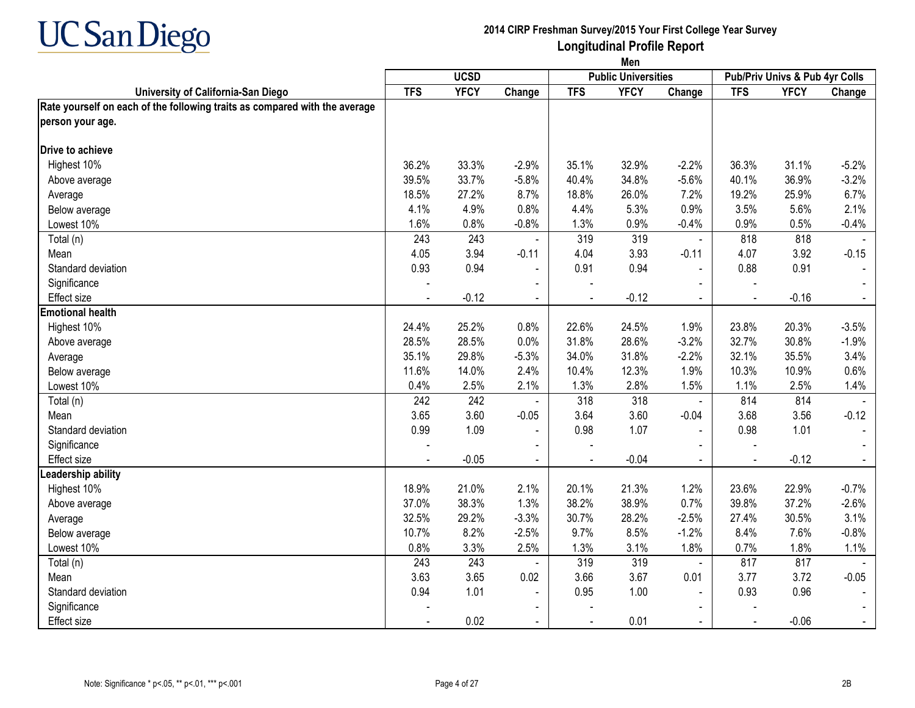

|                                                                            | Men            |             |                          |            |                            |                |                                |             |                |  |
|----------------------------------------------------------------------------|----------------|-------------|--------------------------|------------|----------------------------|----------------|--------------------------------|-------------|----------------|--|
|                                                                            |                | <b>UCSD</b> |                          |            | <b>Public Universities</b> |                | Pub/Priv Univs & Pub 4yr Colls |             |                |  |
| University of California-San Diego                                         | <b>TFS</b>     | <b>YFCY</b> | Change                   | <b>TFS</b> | <b>YFCY</b>                | Change         | <b>TFS</b>                     | <b>YFCY</b> | Change         |  |
| Rate yourself on each of the following traits as compared with the average |                |             |                          |            |                            |                |                                |             |                |  |
| person your age.                                                           |                |             |                          |            |                            |                |                                |             |                |  |
| Drive to achieve                                                           |                |             |                          |            |                            |                |                                |             |                |  |
| Highest 10%                                                                | 36.2%          | 33.3%       | $-2.9%$                  | 35.1%      | 32.9%                      | $-2.2%$        | 36.3%                          | 31.1%       | $-5.2%$        |  |
| Above average                                                              | 39.5%          | 33.7%       | $-5.8%$                  | 40.4%      | 34.8%                      | $-5.6%$        | 40.1%                          | 36.9%       | $-3.2%$        |  |
| Average                                                                    | 18.5%          | 27.2%       | 8.7%                     | 18.8%      | 26.0%                      | 7.2%           | 19.2%                          | 25.9%       | 6.7%           |  |
| Below average                                                              | 4.1%           | 4.9%        | 0.8%                     | 4.4%       | 5.3%                       | 0.9%           | 3.5%                           | 5.6%        | 2.1%           |  |
| Lowest 10%                                                                 | 1.6%           | 0.8%        | $-0.8%$                  | 1.3%       | 0.9%                       | $-0.4%$        | 0.9%                           | 0.5%        | $-0.4%$        |  |
| Total (n)                                                                  | 243            | 243         |                          | 319        | 319                        | $\blacksquare$ | 818                            | 818         |                |  |
| Mean                                                                       | 4.05           | 3.94        | $-0.11$                  | 4.04       | 3.93                       | $-0.11$        | 4.07                           | 3.92        | $-0.15$        |  |
| Standard deviation                                                         | 0.93           | 0.94        |                          | 0.91       | 0.94                       |                | 0.88                           | 0.91        |                |  |
| Significance                                                               |                |             | $\overline{\phantom{0}}$ |            |                            |                | $\blacksquare$                 |             |                |  |
| Effect size                                                                | $\blacksquare$ | $-0.12$     | $\blacksquare$           |            | $-0.12$                    | $\blacksquare$ | $\blacksquare$                 | $-0.16$     | $\blacksquare$ |  |
| <b>Emotional health</b>                                                    |                |             |                          |            |                            |                |                                |             |                |  |
| Highest 10%                                                                | 24.4%          | 25.2%       | 0.8%                     | 22.6%      | 24.5%                      | 1.9%           | 23.8%                          | 20.3%       | $-3.5%$        |  |
| Above average                                                              | 28.5%          | 28.5%       | 0.0%                     | 31.8%      | 28.6%                      | $-3.2%$        | 32.7%                          | 30.8%       | $-1.9%$        |  |
| Average                                                                    | 35.1%          | 29.8%       | $-5.3%$                  | 34.0%      | 31.8%                      | $-2.2%$        | 32.1%                          | 35.5%       | 3.4%           |  |
| Below average                                                              | 11.6%          | 14.0%       | 2.4%                     | 10.4%      | 12.3%                      | 1.9%           | 10.3%                          | 10.9%       | 0.6%           |  |
| Lowest 10%                                                                 | 0.4%           | 2.5%        | 2.1%                     | 1.3%       | 2.8%                       | 1.5%           | 1.1%                           | 2.5%        | 1.4%           |  |
| Total (n)                                                                  | 242            | 242         |                          | 318        | 318                        | $\blacksquare$ | 814                            | 814         |                |  |
| Mean                                                                       | 3.65           | 3.60        | $-0.05$                  | 3.64       | 3.60                       | $-0.04$        | 3.68                           | 3.56        | $-0.12$        |  |
| Standard deviation                                                         | 0.99           | 1.09        |                          | 0.98       | 1.07                       | $\sim$         | 0.98                           | 1.01        |                |  |
| Significance                                                               |                |             |                          |            |                            |                |                                |             |                |  |
| Effect size                                                                |                | $-0.05$     | $\blacksquare$           |            | $-0.04$                    | $\blacksquare$ | $\blacksquare$                 | $-0.12$     | $\sim$         |  |
| Leadership ability                                                         |                |             |                          |            |                            |                |                                |             |                |  |
| Highest 10%                                                                | 18.9%          | 21.0%       | 2.1%                     | 20.1%      | 21.3%                      | 1.2%           | 23.6%                          | 22.9%       | $-0.7%$        |  |
| Above average                                                              | 37.0%          | 38.3%       | 1.3%                     | 38.2%      | 38.9%                      | 0.7%           | 39.8%                          | 37.2%       | $-2.6%$        |  |
| Average                                                                    | 32.5%          | 29.2%       | $-3.3%$                  | 30.7%      | 28.2%                      | $-2.5%$        | 27.4%                          | 30.5%       | 3.1%           |  |
| Below average                                                              | 10.7%          | 8.2%        | $-2.5%$                  | 9.7%       | 8.5%                       | $-1.2%$        | 8.4%                           | 7.6%        | $-0.8%$        |  |
| Lowest 10%                                                                 | 0.8%           | 3.3%        | 2.5%                     | 1.3%       | 3.1%                       | 1.8%           | 0.7%                           | 1.8%        | 1.1%           |  |
| Total (n)                                                                  | 243            | 243         |                          | 319        | 319                        | $\blacksquare$ | 817                            | 817         |                |  |
| Mean                                                                       | 3.63           | 3.65        | 0.02                     | 3.66       | 3.67                       | 0.01           | 3.77                           | 3.72        | $-0.05$        |  |
| Standard deviation                                                         | 0.94           | 1.01        | $\blacksquare$           | 0.95       | 1.00                       | $\blacksquare$ | 0.93                           | 0.96        |                |  |
| Significance                                                               |                |             |                          |            |                            |                |                                |             |                |  |
| Effect size                                                                |                | 0.02        | $\blacksquare$           |            | 0.01                       | $\blacksquare$ | $\blacksquare$                 | $-0.06$     |                |  |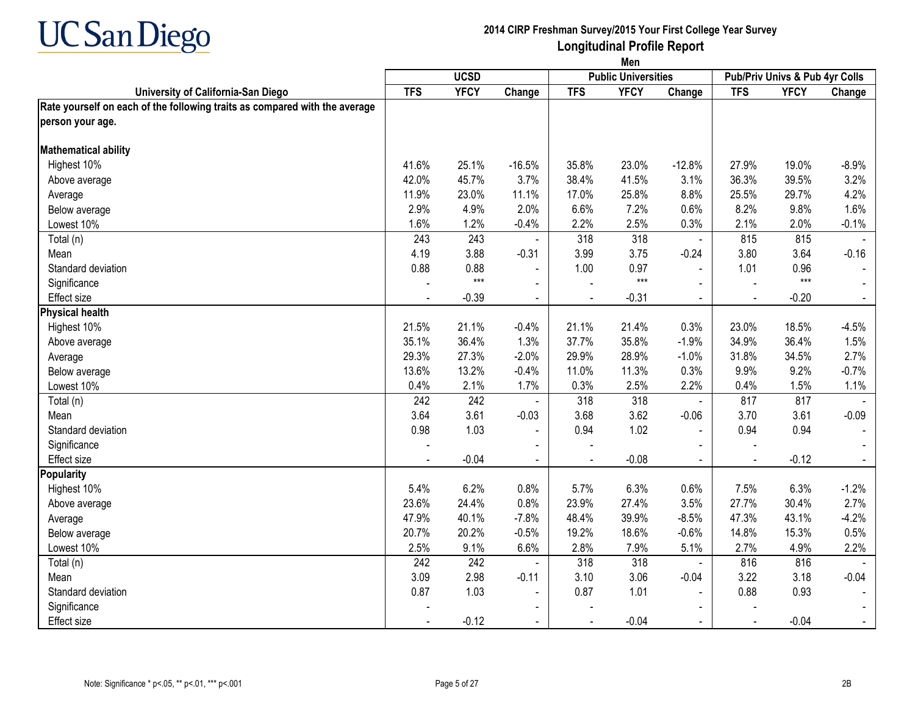

|                                                                            | Men        |             |                |                |                            |                |                                |             |                |
|----------------------------------------------------------------------------|------------|-------------|----------------|----------------|----------------------------|----------------|--------------------------------|-------------|----------------|
|                                                                            |            | <b>UCSD</b> |                |                | <b>Public Universities</b> |                | Pub/Priv Univs & Pub 4yr Colls |             |                |
| University of California-San Diego                                         | <b>TFS</b> | <b>YFCY</b> | Change         | <b>TFS</b>     | <b>YFCY</b>                | Change         | <b>TFS</b>                     | <b>YFCY</b> | Change         |
| Rate yourself on each of the following traits as compared with the average |            |             |                |                |                            |                |                                |             |                |
| person your age.                                                           |            |             |                |                |                            |                |                                |             |                |
| <b>Mathematical ability</b>                                                |            |             |                |                |                            |                |                                |             |                |
| Highest 10%                                                                | 41.6%      | 25.1%       | $-16.5%$       | 35.8%          | 23.0%                      | $-12.8%$       | 27.9%                          | 19.0%       | $-8.9%$        |
| Above average                                                              | 42.0%      | 45.7%       | 3.7%           | 38.4%          | 41.5%                      | 3.1%           | 36.3%                          | 39.5%       | 3.2%           |
| Average                                                                    | 11.9%      | 23.0%       | 11.1%          | 17.0%          | 25.8%                      | 8.8%           | 25.5%                          | 29.7%       | 4.2%           |
| Below average                                                              | 2.9%       | 4.9%        | 2.0%           | 6.6%           | 7.2%                       | 0.6%           | 8.2%                           | 9.8%        | 1.6%           |
| Lowest 10%                                                                 | 1.6%       | 1.2%        | $-0.4%$        | 2.2%           | 2.5%                       | 0.3%           | 2.1%                           | 2.0%        | $-0.1%$        |
| Total (n)                                                                  | 243        | 243         |                | 318            | 318                        | $\omega$       | 815                            | 815         |                |
| Mean                                                                       | 4.19       | 3.88        | $-0.31$        | 3.99           | 3.75                       | $-0.24$        | 3.80                           | 3.64        | $-0.16$        |
| Standard deviation                                                         | 0.88       | 0.88        |                | 1.00           | 0.97                       | $\blacksquare$ | 1.01                           | 0.96        |                |
| Significance                                                               |            | $***$       | $\sim$         |                | $***$                      | $\sim$         | $\overline{\phantom{a}}$       | $***$       | $\blacksquare$ |
| <b>Effect size</b>                                                         |            | $-0.39$     | $\sim$         | $\blacksquare$ | $-0.31$                    | $\sim$         | $\blacksquare$                 | $-0.20$     | $\blacksquare$ |
| <b>Physical health</b>                                                     |            |             |                |                |                            |                |                                |             |                |
| Highest 10%                                                                | 21.5%      | 21.1%       | $-0.4%$        | 21.1%          | 21.4%                      | 0.3%           | 23.0%                          | 18.5%       | $-4.5%$        |
| Above average                                                              | 35.1%      | 36.4%       | 1.3%           | 37.7%          | 35.8%                      | $-1.9%$        | 34.9%                          | 36.4%       | 1.5%           |
| Average                                                                    | 29.3%      | 27.3%       | $-2.0%$        | 29.9%          | 28.9%                      | $-1.0%$        | 31.8%                          | 34.5%       | 2.7%           |
| Below average                                                              | 13.6%      | 13.2%       | $-0.4%$        | 11.0%          | 11.3%                      | 0.3%           | 9.9%                           | 9.2%        | $-0.7%$        |
| Lowest 10%                                                                 | 0.4%       | 2.1%        | 1.7%           | 0.3%           | 2.5%                       | 2.2%           | 0.4%                           | 1.5%        | 1.1%           |
| Total (n)                                                                  | 242        | 242         |                | 318            | 318                        | $\blacksquare$ | 817                            | 817         |                |
| Mean                                                                       | 3.64       | 3.61        | $-0.03$        | 3.68           | 3.62                       | $-0.06$        | 3.70                           | 3.61        | $-0.09$        |
| Standard deviation                                                         | 0.98       | 1.03        | $\blacksquare$ | 0.94           | 1.02                       | $\blacksquare$ | 0.94                           | 0.94        |                |
| Significance                                                               |            |             |                |                |                            |                |                                |             |                |
| <b>Effect size</b>                                                         |            | $-0.04$     |                |                | $-0.08$                    | $\blacksquare$ |                                | $-0.12$     |                |
| Popularity                                                                 |            |             |                |                |                            |                |                                |             |                |
| Highest 10%                                                                | 5.4%       | 6.2%        | 0.8%           | 5.7%           | 6.3%                       | 0.6%           | 7.5%                           | 6.3%        | $-1.2%$        |
| Above average                                                              | 23.6%      | 24.4%       | 0.8%           | 23.9%          | 27.4%                      | 3.5%           | 27.7%                          | 30.4%       | 2.7%           |
| Average                                                                    | 47.9%      | 40.1%       | $-7.8%$        | 48.4%          | 39.9%                      | $-8.5%$        | 47.3%                          | 43.1%       | $-4.2%$        |
| Below average                                                              | 20.7%      | 20.2%       | $-0.5%$        | 19.2%          | 18.6%                      | $-0.6%$        | 14.8%                          | 15.3%       | 0.5%           |
| Lowest 10%                                                                 | 2.5%       | 9.1%        | 6.6%           | 2.8%           | 7.9%                       | 5.1%           | 2.7%                           | 4.9%        | 2.2%           |
| Total (n)                                                                  | 242        | 242         |                | 318            | 318                        | $\blacksquare$ | 816                            | 816         |                |
| Mean                                                                       | 3.09       | 2.98        | $-0.11$        | 3.10           | 3.06                       | $-0.04$        | 3.22                           | 3.18        | $-0.04$        |
| Standard deviation                                                         | 0.87       | 1.03        | $\blacksquare$ | 0.87           | 1.01                       |                | 0.88                           | 0.93        |                |
| Significance                                                               |            |             |                |                |                            |                |                                |             |                |
| <b>Effect size</b>                                                         |            | $-0.12$     | $\blacksquare$ |                | $-0.04$                    | $\blacksquare$ |                                | $-0.04$     |                |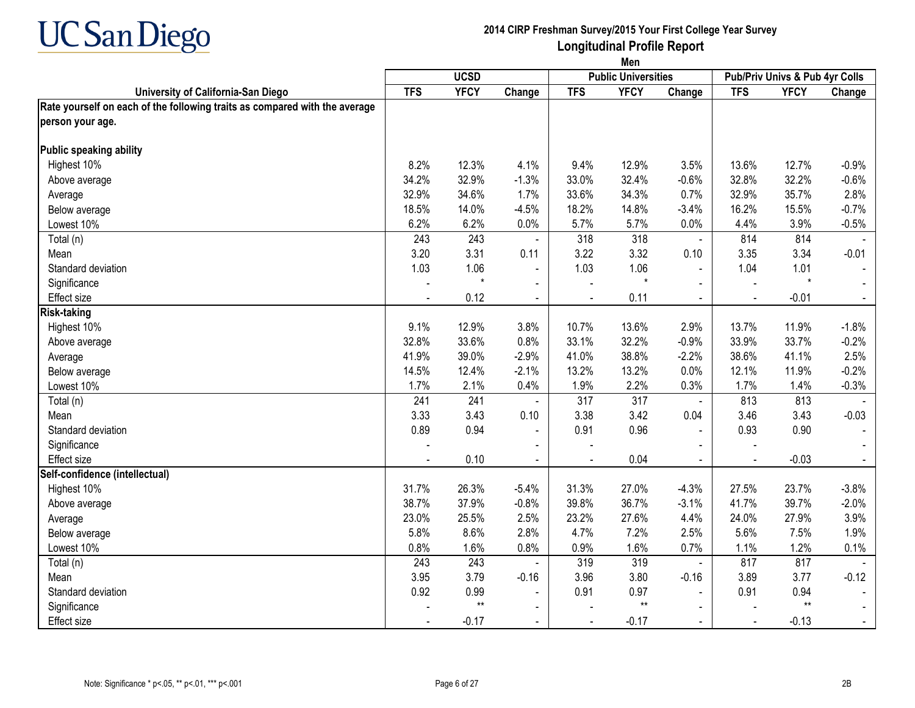

|                                                                            | Men        |             |                |                |                            |                |                |                                |                |
|----------------------------------------------------------------------------|------------|-------------|----------------|----------------|----------------------------|----------------|----------------|--------------------------------|----------------|
|                                                                            |            | <b>UCSD</b> |                |                | <b>Public Universities</b> |                |                | Pub/Priv Univs & Pub 4yr Colls |                |
| University of California-San Diego                                         | <b>TFS</b> | <b>YFCY</b> | Change         | <b>TFS</b>     | <b>YFCY</b>                | Change         | <b>TFS</b>     | <b>YFCY</b>                    | Change         |
| Rate yourself on each of the following traits as compared with the average |            |             |                |                |                            |                |                |                                |                |
| person your age.                                                           |            |             |                |                |                            |                |                |                                |                |
| Public speaking ability                                                    |            |             |                |                |                            |                |                |                                |                |
| Highest 10%                                                                | 8.2%       | 12.3%       | 4.1%           | 9.4%           | 12.9%                      | 3.5%           | 13.6%          | 12.7%                          | $-0.9%$        |
| Above average                                                              | 34.2%      | 32.9%       | $-1.3%$        | 33.0%          | 32.4%                      | $-0.6%$        | 32.8%          | 32.2%                          | $-0.6%$        |
| Average                                                                    | 32.9%      | 34.6%       | 1.7%           | 33.6%          | 34.3%                      | 0.7%           | 32.9%          | 35.7%                          | 2.8%           |
| Below average                                                              | 18.5%      | 14.0%       | $-4.5%$        | 18.2%          | 14.8%                      | $-3.4%$        | 16.2%          | 15.5%                          | $-0.7%$        |
| Lowest 10%                                                                 | 6.2%       | 6.2%        | 0.0%           | 5.7%           | 5.7%                       | 0.0%           | 4.4%           | 3.9%                           | $-0.5%$        |
| Total (n)                                                                  | 243        | 243         |                | 318            | 318                        | $\blacksquare$ | 814            | 814                            |                |
| Mean                                                                       | 3.20       | 3.31        | 0.11           | 3.22           | 3.32                       | 0.10           | 3.35           | 3.34                           | $-0.01$        |
| Standard deviation                                                         | 1.03       | 1.06        | $\blacksquare$ | 1.03           | 1.06                       | $\blacksquare$ | 1.04           | 1.01                           |                |
| Significance                                                               |            | $\star$     | $\sim$         |                | $\star$                    |                | $\sim$         | $\star$                        | $\sim$         |
| <b>Effect size</b>                                                         |            | 0.12        | $\blacksquare$ | $\blacksquare$ | 0.11                       | $\sim$         | $\blacksquare$ | $-0.01$                        | $\blacksquare$ |
| <b>Risk-taking</b>                                                         |            |             |                |                |                            |                |                |                                |                |
| Highest 10%                                                                | 9.1%       | 12.9%       | 3.8%           | 10.7%          | 13.6%                      | 2.9%           | 13.7%          | 11.9%                          | $-1.8%$        |
| Above average                                                              | 32.8%      | 33.6%       | 0.8%           | 33.1%          | 32.2%                      | $-0.9%$        | 33.9%          | 33.7%                          | $-0.2%$        |
| Average                                                                    | 41.9%      | 39.0%       | $-2.9%$        | 41.0%          | 38.8%                      | $-2.2%$        | 38.6%          | 41.1%                          | 2.5%           |
| Below average                                                              | 14.5%      | 12.4%       | $-2.1%$        | 13.2%          | 13.2%                      | 0.0%           | 12.1%          | 11.9%                          | $-0.2%$        |
| Lowest 10%                                                                 | 1.7%       | 2.1%        | 0.4%           | 1.9%           | 2.2%                       | 0.3%           | 1.7%           | 1.4%                           | $-0.3%$        |
| Total (n)                                                                  | 241        | 241         |                | 317            | 317                        | $\blacksquare$ | 813            | 813                            |                |
| Mean                                                                       | 3.33       | 3.43        | 0.10           | 3.38           | 3.42                       | 0.04           | 3.46           | 3.43                           | $-0.03$        |
| Standard deviation                                                         | 0.89       | 0.94        | $\blacksquare$ | 0.91           | 0.96                       | $\blacksquare$ | 0.93           | 0.90                           |                |
| Significance                                                               |            |             |                |                |                            |                |                |                                |                |
| <b>Effect size</b>                                                         |            | 0.10        | $\blacksquare$ | $\sim$         | 0.04                       | $\mathbf{r}$   | $\blacksquare$ | $-0.03$                        | $\blacksquare$ |
| Self-confidence (intellectual)                                             |            |             |                |                |                            |                |                |                                |                |
| Highest 10%                                                                | 31.7%      | 26.3%       | $-5.4%$        | 31.3%          | 27.0%                      | $-4.3%$        | 27.5%          | 23.7%                          | $-3.8%$        |
| Above average                                                              | 38.7%      | 37.9%       | $-0.8%$        | 39.8%          | 36.7%                      | $-3.1%$        | 41.7%          | 39.7%                          | $-2.0%$        |
| Average                                                                    | 23.0%      | 25.5%       | 2.5%           | 23.2%          | 27.6%                      | 4.4%           | 24.0%          | 27.9%                          | 3.9%           |
| Below average                                                              | 5.8%       | 8.6%        | 2.8%           | 4.7%           | 7.2%                       | 2.5%           | 5.6%           | 7.5%                           | 1.9%           |
| Lowest 10%                                                                 | 0.8%       | 1.6%        | 0.8%           | 0.9%           | 1.6%                       | 0.7%           | 1.1%           | 1.2%                           | 0.1%           |
| Total (n)                                                                  | 243        | 243         |                | 319            | 319                        | $\blacksquare$ | 817            | 817                            |                |
| Mean                                                                       | 3.95       | 3.79        | $-0.16$        | 3.96           | 3.80                       | $-0.16$        | 3.89           | 3.77                           | $-0.12$        |
| Standard deviation                                                         | 0.92       | 0.99        | $\blacksquare$ | 0.91           | 0.97                       |                | 0.91           | 0.94                           |                |
| Significance                                                               |            | $**$        |                |                | $^{\star\star}$            |                |                | $^{\star\star}$                |                |
| <b>Effect size</b>                                                         |            | $-0.17$     | $\blacksquare$ |                | $-0.17$                    |                | $\blacksquare$ | $-0.13$                        |                |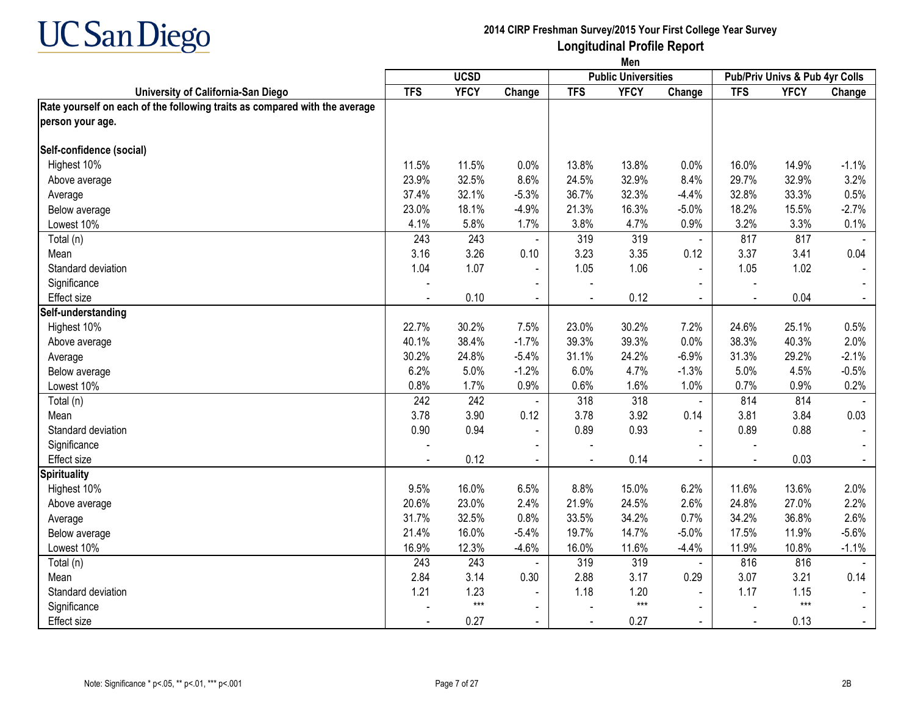

|                                                                            | Men            |             |                |                |                            |                |                |                                |                |
|----------------------------------------------------------------------------|----------------|-------------|----------------|----------------|----------------------------|----------------|----------------|--------------------------------|----------------|
|                                                                            |                | <b>UCSD</b> |                |                | <b>Public Universities</b> |                |                | Pub/Priv Univs & Pub 4yr Colls |                |
| University of California-San Diego                                         | <b>TFS</b>     | <b>YFCY</b> | Change         | <b>TFS</b>     | <b>YFCY</b>                | Change         | <b>TFS</b>     | <b>YFCY</b>                    | Change         |
| Rate yourself on each of the following traits as compared with the average |                |             |                |                |                            |                |                |                                |                |
| person your age.                                                           |                |             |                |                |                            |                |                |                                |                |
| Self-confidence (social)                                                   |                |             |                |                |                            |                |                |                                |                |
| Highest 10%                                                                | 11.5%          | 11.5%       | 0.0%           | 13.8%          | 13.8%                      | 0.0%           | 16.0%          | 14.9%                          | $-1.1%$        |
| Above average                                                              | 23.9%          | 32.5%       | 8.6%           | 24.5%          | 32.9%                      | 8.4%           | 29.7%          | 32.9%                          | 3.2%           |
| Average                                                                    | 37.4%          | 32.1%       | $-5.3%$        | 36.7%          | 32.3%                      | $-4.4%$        | 32.8%          | 33.3%                          | 0.5%           |
| Below average                                                              | 23.0%          | 18.1%       | $-4.9%$        | 21.3%          | 16.3%                      | $-5.0%$        | 18.2%          | 15.5%                          | $-2.7%$        |
| Lowest 10%                                                                 | 4.1%           | 5.8%        | 1.7%           | 3.8%           | 4.7%                       | 0.9%           | 3.2%           | 3.3%                           | 0.1%           |
| Total (n)                                                                  | 243            | 243         | $\blacksquare$ | 319            | 319                        | $\blacksquare$ | 817            | 817                            |                |
| Mean                                                                       | 3.16           | 3.26        | 0.10           | 3.23           | 3.35                       | 0.12           | 3.37           | 3.41                           | 0.04           |
| Standard deviation                                                         | 1.04           | 1.07        |                | 1.05           | 1.06                       | $\blacksquare$ | 1.05           | 1.02                           |                |
| Significance                                                               |                |             | $\blacksquare$ |                |                            |                |                |                                |                |
| Effect size                                                                | $\blacksquare$ | 0.10        | $\blacksquare$ | $\blacksquare$ | 0.12                       | $\sim$         | $\blacksquare$ | 0.04                           | $\blacksquare$ |
| Self-understanding                                                         |                |             |                |                |                            |                |                |                                |                |
| Highest 10%                                                                | 22.7%          | 30.2%       | 7.5%           | 23.0%          | 30.2%                      | 7.2%           | 24.6%          | 25.1%                          | 0.5%           |
| Above average                                                              | 40.1%          | 38.4%       | $-1.7%$        | 39.3%          | 39.3%                      | 0.0%           | 38.3%          | 40.3%                          | 2.0%           |
| Average                                                                    | 30.2%          | 24.8%       | $-5.4%$        | 31.1%          | 24.2%                      | $-6.9%$        | 31.3%          | 29.2%                          | $-2.1%$        |
| Below average                                                              | 6.2%           | 5.0%        | $-1.2%$        | 6.0%           | 4.7%                       | $-1.3%$        | 5.0%           | 4.5%                           | $-0.5%$        |
| Lowest 10%                                                                 | 0.8%           | 1.7%        | 0.9%           | 0.6%           | 1.6%                       | 1.0%           | 0.7%           | 0.9%                           | 0.2%           |
| Total (n)                                                                  | 242            | 242         |                | 318            | 318                        | $\blacksquare$ | 814            | 814                            |                |
| Mean                                                                       | 3.78           | 3.90        | 0.12           | 3.78           | 3.92                       | 0.14           | 3.81           | 3.84                           | 0.03           |
| Standard deviation                                                         | 0.90           | 0.94        | $\mathbf{r}$   | 0.89           | 0.93                       | $\blacksquare$ | 0.89           | 0.88                           |                |
| Significance                                                               |                |             |                |                |                            |                |                |                                |                |
| Effect size                                                                |                | 0.12        | $\blacksquare$ | $\sim$         | 0.14                       | $\mathbf{r}$   | $\overline{a}$ | 0.03                           | $\sim$         |
| <b>Spirituality</b>                                                        |                |             |                |                |                            |                |                |                                |                |
| Highest 10%                                                                | 9.5%           | 16.0%       | 6.5%           | 8.8%           | 15.0%                      | 6.2%           | 11.6%          | 13.6%                          | 2.0%           |
| Above average                                                              | 20.6%          | 23.0%       | 2.4%           | 21.9%          | 24.5%                      | 2.6%           | 24.8%          | 27.0%                          | 2.2%           |
| Average                                                                    | 31.7%          | 32.5%       | 0.8%           | 33.5%          | 34.2%                      | 0.7%           | 34.2%          | 36.8%                          | 2.6%           |
| Below average                                                              | 21.4%          | 16.0%       | $-5.4%$        | 19.7%          | 14.7%                      | $-5.0%$        | 17.5%          | 11.9%                          | $-5.6%$        |
| Lowest 10%                                                                 | 16.9%          | 12.3%       | $-4.6%$        | 16.0%          | 11.6%                      | $-4.4%$        | 11.9%          | 10.8%                          | $-1.1%$        |
| Total (n)                                                                  | 243            | 243         |                | 319            | 319                        | $\blacksquare$ | 816            | 816                            |                |
| Mean                                                                       | 2.84           | 3.14        | 0.30           | 2.88           | 3.17                       | 0.29           | 3.07           | 3.21                           | 0.14           |
| Standard deviation                                                         | 1.21           | 1.23        | $\blacksquare$ | 1.18           | 1.20                       |                | 1.17           | 1.15                           |                |
| Significance                                                               |                | $***$       | $\sim$         |                | $***$                      | $\blacksquare$ |                | $***$                          |                |
| Effect size                                                                |                | 0.27        | $\blacksquare$ |                | 0.27                       | $\sim$         | $\blacksquare$ | 0.13                           |                |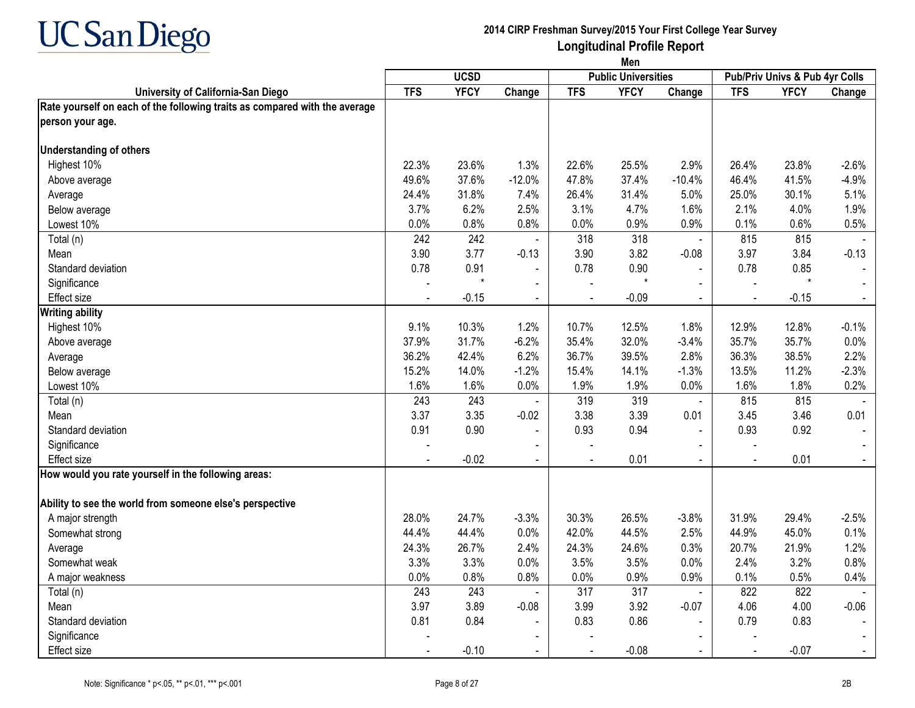

|                                                                            | Men        |             |                |                |                            |                |                                |             |                |
|----------------------------------------------------------------------------|------------|-------------|----------------|----------------|----------------------------|----------------|--------------------------------|-------------|----------------|
|                                                                            |            | <b>UCSD</b> |                |                | <b>Public Universities</b> |                | Pub/Priv Univs & Pub 4yr Colls |             |                |
| University of California-San Diego                                         | <b>TFS</b> | <b>YFCY</b> | Change         | <b>TFS</b>     | <b>YFCY</b>                | Change         | <b>TFS</b>                     | <b>YFCY</b> | Change         |
| Rate yourself on each of the following traits as compared with the average |            |             |                |                |                            |                |                                |             |                |
| person your age.                                                           |            |             |                |                |                            |                |                                |             |                |
| <b>Understanding of others</b>                                             |            |             |                |                |                            |                |                                |             |                |
| Highest 10%                                                                | 22.3%      | 23.6%       | 1.3%           | 22.6%          | 25.5%                      | 2.9%           | 26.4%                          | 23.8%       | $-2.6%$        |
| Above average                                                              | 49.6%      | 37.6%       | $-12.0%$       | 47.8%          | 37.4%                      | $-10.4%$       | 46.4%                          | 41.5%       | $-4.9%$        |
| Average                                                                    | 24.4%      | 31.8%       | 7.4%           | 26.4%          | 31.4%                      | 5.0%           | 25.0%                          | 30.1%       | 5.1%           |
| Below average                                                              | 3.7%       | 6.2%        | 2.5%           | 3.1%           | 4.7%                       | 1.6%           | 2.1%                           | 4.0%        | 1.9%           |
| Lowest 10%                                                                 | 0.0%       | 0.8%        | 0.8%           | 0.0%           | 0.9%                       | 0.9%           | 0.1%                           | 0.6%        | 0.5%           |
| Total (n)                                                                  | 242        | 242         | $\blacksquare$ | 318            | 318                        | $\blacksquare$ | 815                            | 815         | $\sim$         |
| Mean                                                                       | 3.90       | 3.77        | $-0.13$        | 3.90           | 3.82                       | $-0.08$        | 3.97                           | 3.84        | $-0.13$        |
| Standard deviation                                                         | 0.78       | 0.91        | $\blacksquare$ | 0.78           | 0.90                       | $\blacksquare$ | 0.78                           | 0.85        |                |
| Significance                                                               |            | $\star$     |                |                | $\star$                    |                |                                | $\star$     |                |
| Effect size                                                                |            | $-0.15$     | $\sim$         | $\blacksquare$ | $-0.09$                    | $\blacksquare$ | $\blacksquare$                 | $-0.15$     | $\blacksquare$ |
| <b>Writing ability</b>                                                     |            |             |                |                |                            |                |                                |             |                |
| Highest 10%                                                                | 9.1%       | 10.3%       | 1.2%           | 10.7%          | 12.5%                      | 1.8%           | 12.9%                          | 12.8%       | $-0.1%$        |
| Above average                                                              | 37.9%      | 31.7%       | $-6.2%$        | 35.4%          | 32.0%                      | $-3.4%$        | 35.7%                          | 35.7%       | 0.0%           |
| Average                                                                    | 36.2%      | 42.4%       | 6.2%           | 36.7%          | 39.5%                      | 2.8%           | 36.3%                          | 38.5%       | 2.2%           |
| Below average                                                              | 15.2%      | 14.0%       | $-1.2%$        | 15.4%          | 14.1%                      | $-1.3%$        | 13.5%                          | 11.2%       | $-2.3%$        |
| Lowest 10%                                                                 | 1.6%       | 1.6%        | 0.0%           | 1.9%           | 1.9%                       | 0.0%           | 1.6%                           | 1.8%        | 0.2%           |
| Total (n)                                                                  | 243        | 243         | $\mathbf{r}$   | 319            | 319                        | $\mathbf{u}$   | 815                            | 815         |                |
| Mean                                                                       | 3.37       | 3.35        | $-0.02$        | 3.38           | 3.39                       | 0.01           | 3.45                           | 3.46        | 0.01           |
| Standard deviation                                                         | 0.91       | 0.90        | $\blacksquare$ | 0.93           | 0.94                       | $\blacksquare$ | 0.93                           | 0.92        |                |
| Significance                                                               |            |             |                |                |                            |                |                                |             |                |
| Effect size                                                                |            | $-0.02$     | $\sim$         | $\overline{a}$ | 0.01                       | $\overline{a}$ | $\blacksquare$                 | 0.01        |                |
| How would you rate yourself in the following areas:                        |            |             |                |                |                            |                |                                |             |                |
| Ability to see the world from someone else's perspective                   |            |             |                |                |                            |                |                                |             |                |
| A major strength                                                           | 28.0%      | 24.7%       | $-3.3%$        | 30.3%          | 26.5%                      | $-3.8%$        | 31.9%                          | 29.4%       | $-2.5%$        |
| Somewhat strong                                                            | 44.4%      | 44.4%       | 0.0%           | 42.0%          | 44.5%                      | 2.5%           | 44.9%                          | 45.0%       | 0.1%           |
| Average                                                                    | 24.3%      | 26.7%       | 2.4%           | 24.3%          | 24.6%                      | 0.3%           | 20.7%                          | 21.9%       | 1.2%           |
| Somewhat weak                                                              | 3.3%       | 3.3%        | 0.0%           | 3.5%           | 3.5%                       | 0.0%           | 2.4%                           | 3.2%        | 0.8%           |
| A major weakness                                                           | 0.0%       | 0.8%        | 0.8%           | 0.0%           | 0.9%                       | 0.9%           | 0.1%                           | 0.5%        | 0.4%           |
| Total (n)                                                                  | 243        | 243         | $\blacksquare$ | 317            | 317                        | $\mathbf{u}$   | 822                            | 822         |                |
| Mean                                                                       | 3.97       | 3.89        | $-0.08$        | 3.99           | 3.92                       | $-0.07$        | 4.06                           | 4.00        | $-0.06$        |
| Standard deviation                                                         | 0.81       | 0.84        | $\blacksquare$ | 0.83           | 0.86                       | $\mathbf{r}$   | 0.79                           | 0.83        |                |
| Significance                                                               |            |             |                |                |                            | $\blacksquare$ |                                |             |                |
| Effect size                                                                |            | $-0.10$     | $\blacksquare$ |                | $-0.08$                    |                |                                | $-0.07$     |                |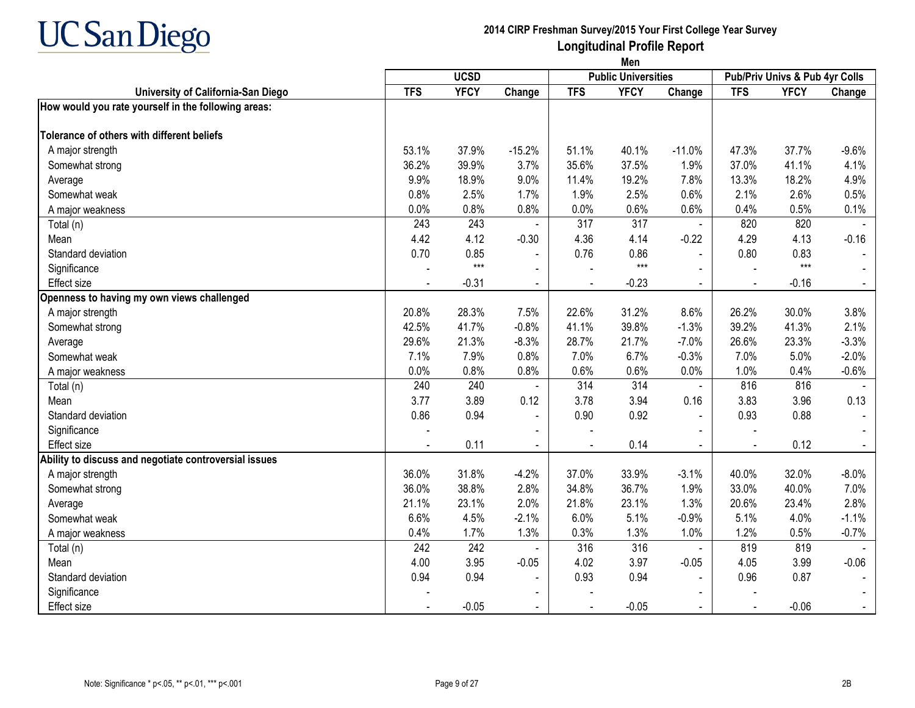

|                                                       | Men        |             |                |            |                            |                |                |                                |         |
|-------------------------------------------------------|------------|-------------|----------------|------------|----------------------------|----------------|----------------|--------------------------------|---------|
|                                                       |            | <b>UCSD</b> |                |            | <b>Public Universities</b> |                |                | Pub/Priv Univs & Pub 4yr Colls |         |
| University of California-San Diego                    | <b>TFS</b> | <b>YFCY</b> | Change         | <b>TFS</b> | <b>YFCY</b>                | Change         | <b>TFS</b>     | <b>YFCY</b>                    | Change  |
| How would you rate yourself in the following areas:   |            |             |                |            |                            |                |                |                                |         |
| Tolerance of others with different beliefs            |            |             |                |            |                            |                |                |                                |         |
| A major strength                                      | 53.1%      | 37.9%       | $-15.2%$       | 51.1%      | 40.1%                      | $-11.0%$       | 47.3%          | 37.7%                          | $-9.6%$ |
| Somewhat strong                                       | 36.2%      | 39.9%       | 3.7%           | 35.6%      | 37.5%                      | 1.9%           | 37.0%          | 41.1%                          | 4.1%    |
| Average                                               | 9.9%       | 18.9%       | 9.0%           | 11.4%      | 19.2%                      | 7.8%           | 13.3%          | 18.2%                          | 4.9%    |
| Somewhat weak                                         | 0.8%       | 2.5%        | 1.7%           | 1.9%       | 2.5%                       | 0.6%           | 2.1%           | 2.6%                           | 0.5%    |
| A major weakness                                      | 0.0%       | 0.8%        | 0.8%           | 0.0%       | 0.6%                       | 0.6%           | 0.4%           | 0.5%                           | 0.1%    |
| Total (n)                                             | 243        | 243         |                | 317        | 317                        | $\blacksquare$ | 820            | 820                            |         |
| Mean                                                  | 4.42       | 4.12        | $-0.30$        | 4.36       | 4.14                       | $-0.22$        | 4.29           | 4.13                           | $-0.16$ |
| Standard deviation                                    | 0.70       | 0.85        | $\blacksquare$ | 0.76       | 0.86                       | $\blacksquare$ | 0.80           | 0.83                           |         |
| Significance                                          |            | $***$       |                |            | $***$                      |                |                | $***$                          |         |
| <b>Effect size</b>                                    |            | $-0.31$     | $\blacksquare$ |            | $-0.23$                    | $\blacksquare$ |                | $-0.16$                        |         |
| Openness to having my own views challenged            |            |             |                |            |                            |                |                |                                |         |
| A major strength                                      | 20.8%      | 28.3%       | 7.5%           | 22.6%      | 31.2%                      | 8.6%           | 26.2%          | 30.0%                          | 3.8%    |
| Somewhat strong                                       | 42.5%      | 41.7%       | $-0.8%$        | 41.1%      | 39.8%                      | $-1.3%$        | 39.2%          | 41.3%                          | 2.1%    |
| Average                                               | 29.6%      | 21.3%       | $-8.3%$        | 28.7%      | 21.7%                      | $-7.0%$        | 26.6%          | 23.3%                          | $-3.3%$ |
| Somewhat weak                                         | 7.1%       | 7.9%        | 0.8%           | 7.0%       | 6.7%                       | $-0.3%$        | 7.0%           | 5.0%                           | $-2.0%$ |
| A major weakness                                      | 0.0%       | 0.8%        | 0.8%           | 0.6%       | 0.6%                       | 0.0%           | 1.0%           | 0.4%                           | $-0.6%$ |
| Total (n)                                             | 240        | 240         | $\mathbf{r}$   | 314        | 314                        | $\blacksquare$ | 816            | 816                            |         |
| Mean                                                  | 3.77       | 3.89        | 0.12           | 3.78       | 3.94                       | 0.16           | 3.83           | 3.96                           | 0.13    |
| Standard deviation                                    | 0.86       | 0.94        | $\blacksquare$ | 0.90       | 0.92                       | $\mathbf{r}$   | 0.93           | 0.88                           |         |
| Significance                                          |            |             |                |            |                            |                |                |                                |         |
| <b>Effect size</b>                                    |            | 0.11        |                |            | 0.14                       |                |                | 0.12                           |         |
| Ability to discuss and negotiate controversial issues |            |             |                |            |                            |                |                |                                |         |
| A major strength                                      | 36.0%      | 31.8%       | $-4.2%$        | 37.0%      | 33.9%                      | $-3.1%$        | 40.0%          | 32.0%                          | $-8.0%$ |
| Somewhat strong                                       | 36.0%      | 38.8%       | 2.8%           | 34.8%      | 36.7%                      | 1.9%           | 33.0%          | 40.0%                          | 7.0%    |
| Average                                               | 21.1%      | 23.1%       | 2.0%           | 21.8%      | 23.1%                      | 1.3%           | 20.6%          | 23.4%                          | 2.8%    |
| Somewhat weak                                         | 6.6%       | 4.5%        | $-2.1%$        | 6.0%       | 5.1%                       | $-0.9%$        | 5.1%           | 4.0%                           | $-1.1%$ |
| A major weakness                                      | 0.4%       | 1.7%        | 1.3%           | 0.3%       | 1.3%                       | 1.0%           | 1.2%           | 0.5%                           | $-0.7%$ |
| Total (n)                                             | 242        | 242         |                | 316        | 316                        | $\blacksquare$ | 819            | 819                            |         |
| Mean                                                  | 4.00       | 3.95        | $-0.05$        | 4.02       | 3.97                       | $-0.05$        | 4.05           | 3.99                           | $-0.06$ |
| Standard deviation                                    | 0.94       | 0.94        | $\blacksquare$ | 0.93       | 0.94                       |                | 0.96           | 0.87                           |         |
| Significance                                          |            |             |                |            |                            |                |                |                                |         |
| <b>Effect size</b>                                    |            | $-0.05$     | $\blacksquare$ |            | $-0.05$                    |                | $\blacksquare$ | $-0.06$                        |         |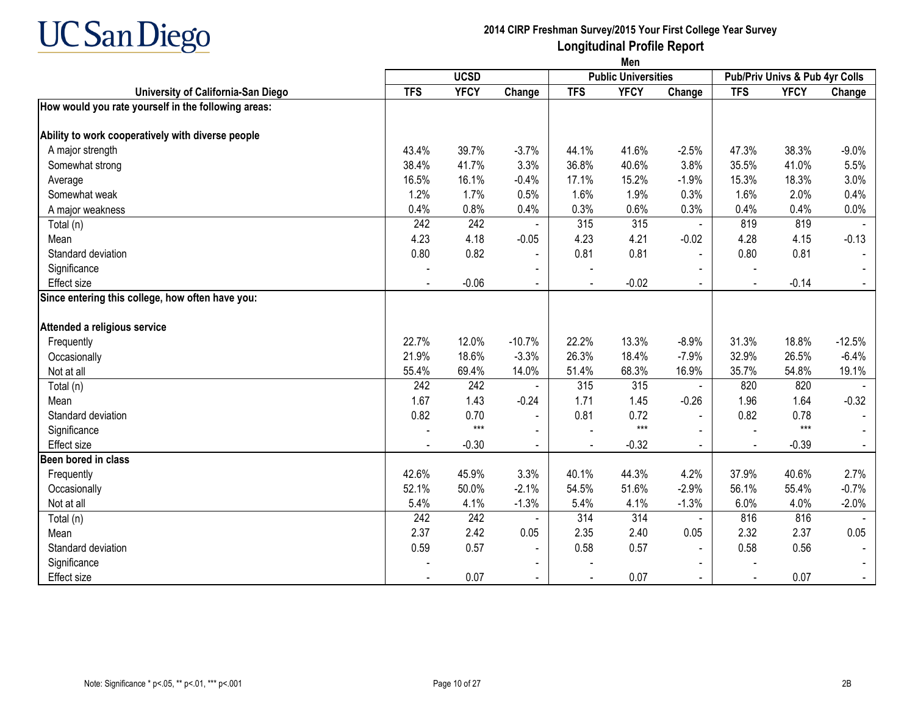

|                                                     | Men        |             |                |            |                            |                |                          |                                |          |
|-----------------------------------------------------|------------|-------------|----------------|------------|----------------------------|----------------|--------------------------|--------------------------------|----------|
|                                                     |            | <b>UCSD</b> |                |            | <b>Public Universities</b> |                |                          | Pub/Priv Univs & Pub 4yr Colls |          |
| University of California-San Diego                  | <b>TFS</b> | <b>YFCY</b> | Change         | <b>TFS</b> | <b>YFCY</b>                | Change         | <b>TFS</b>               | <b>YFCY</b>                    | Change   |
| How would you rate yourself in the following areas: |            |             |                |            |                            |                |                          |                                |          |
| Ability to work cooperatively with diverse people   |            |             |                |            |                            |                |                          |                                |          |
| A major strength                                    | 43.4%      | 39.7%       | $-3.7%$        | 44.1%      | 41.6%                      | $-2.5%$        | 47.3%                    | 38.3%                          | $-9.0%$  |
| Somewhat strong                                     | 38.4%      | 41.7%       | 3.3%           | 36.8%      | 40.6%                      | 3.8%           | 35.5%                    | 41.0%                          | 5.5%     |
| Average                                             | 16.5%      | 16.1%       | $-0.4%$        | 17.1%      | 15.2%                      | $-1.9%$        | 15.3%                    | 18.3%                          | 3.0%     |
| Somewhat weak                                       | 1.2%       | 1.7%        | 0.5%           | 1.6%       | 1.9%                       | 0.3%           | 1.6%                     | 2.0%                           | 0.4%     |
| A major weakness                                    | 0.4%       | 0.8%        | 0.4%           | 0.3%       | 0.6%                       | 0.3%           | 0.4%                     | 0.4%                           | 0.0%     |
| Total (n)                                           | 242        | 242         |                | 315        | 315                        |                | 819                      | 819                            |          |
| Mean                                                | 4.23       | 4.18        | $-0.05$        | 4.23       | 4.21                       | $-0.02$        | 4.28                     | 4.15                           | $-0.13$  |
| Standard deviation                                  | 0.80       | 0.82        | $\blacksquare$ | 0.81       | 0.81                       |                | 0.80                     | 0.81                           |          |
| Significance                                        |            |             |                |            |                            |                |                          |                                |          |
| Effect size                                         |            | $-0.06$     | $\sim$         |            | $-0.02$                    | $\overline{a}$ | $\mathbf{r}$             | $-0.14$                        |          |
| Since entering this college, how often have you:    |            |             |                |            |                            |                |                          |                                |          |
| Attended a religious service                        |            |             |                |            |                            |                |                          |                                |          |
| Frequently                                          | 22.7%      | 12.0%       | $-10.7%$       | 22.2%      | 13.3%                      | $-8.9%$        | 31.3%                    | 18.8%                          | $-12.5%$ |
| Occasionally                                        | 21.9%      | 18.6%       | $-3.3%$        | 26.3%      | 18.4%                      | $-7.9%$        | 32.9%                    | 26.5%                          | $-6.4%$  |
| Not at all                                          | 55.4%      | 69.4%       | 14.0%          | 51.4%      | 68.3%                      | 16.9%          | 35.7%                    | 54.8%                          | 19.1%    |
| Total (n)                                           | 242        | 242         | $\blacksquare$ | 315        | 315                        | $\blacksquare$ | 820                      | 820                            |          |
| Mean                                                | 1.67       | 1.43        | $-0.24$        | 1.71       | 1.45                       | $-0.26$        | 1.96                     | 1.64                           | $-0.32$  |
| Standard deviation                                  | 0.82       | 0.70        | $\blacksquare$ | 0.81       | 0.72                       | $\blacksquare$ | 0.82                     | 0.78                           |          |
| Significance                                        |            | $***$       |                |            | $***$                      |                |                          | $***$                          |          |
| Effect size                                         |            | $-0.30$     | $\sim$         |            | $-0.32$                    | $\overline{a}$ |                          | $-0.39$                        |          |
| Been bored in class                                 |            |             |                |            |                            |                |                          |                                |          |
| Frequently                                          | 42.6%      | 45.9%       | 3.3%           | 40.1%      | 44.3%                      | 4.2%           | 37.9%                    | 40.6%                          | 2.7%     |
| Occasionally                                        | 52.1%      | 50.0%       | $-2.1%$        | 54.5%      | 51.6%                      | $-2.9%$        | 56.1%                    | 55.4%                          | $-0.7%$  |
| Not at all                                          | 5.4%       | 4.1%        | $-1.3%$        | 5.4%       | 4.1%                       | $-1.3%$        | 6.0%                     | 4.0%                           | $-2.0%$  |
| Total (n)                                           | 242        | 242         |                | 314        | 314                        | $\blacksquare$ | 816                      | 816                            |          |
| Mean                                                | 2.37       | 2.42        | 0.05           | 2.35       | 2.40                       | 0.05           | 2.32                     | 2.37                           | 0.05     |
| Standard deviation                                  | 0.59       | 0.57        | $\blacksquare$ | 0.58       | 0.57                       |                | 0.58                     | 0.56                           |          |
| Significance                                        |            |             |                |            |                            |                |                          |                                |          |
| Effect size                                         |            | 0.07        | $\sim$         |            | 0.07                       | $\blacksquare$ | $\overline{\phantom{a}}$ | 0.07                           |          |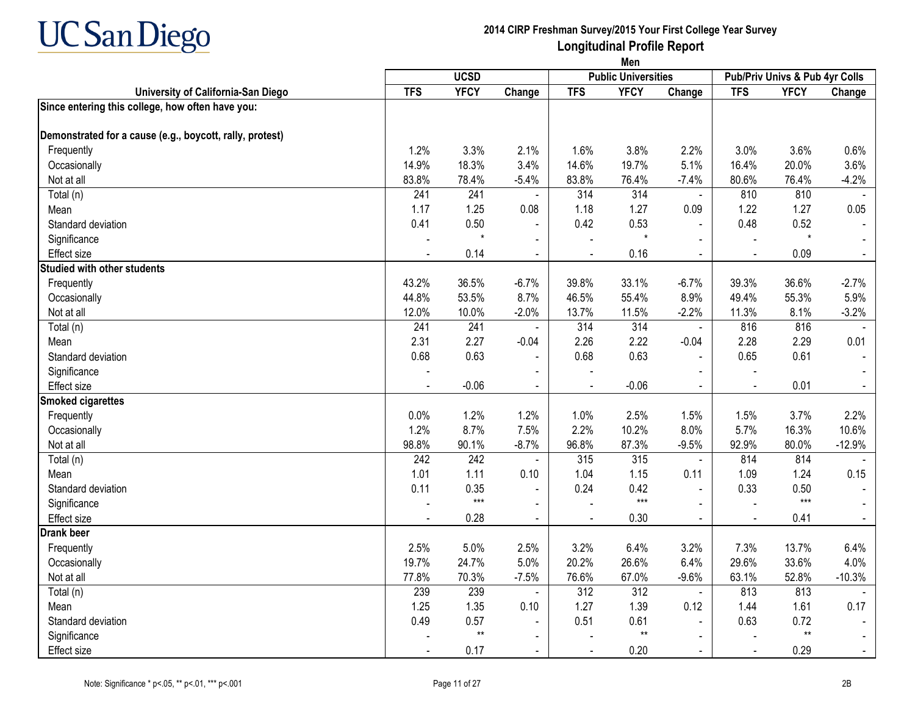

|                                                          | Men        |             |                |                |                            |                |                          |                                |                |
|----------------------------------------------------------|------------|-------------|----------------|----------------|----------------------------|----------------|--------------------------|--------------------------------|----------------|
|                                                          |            | <b>UCSD</b> |                |                | <b>Public Universities</b> |                |                          | Pub/Priv Univs & Pub 4yr Colls |                |
| University of California-San Diego                       | <b>TFS</b> | <b>YFCY</b> | Change         | <b>TFS</b>     | <b>YFCY</b>                | Change         | <b>TFS</b>               | <b>YFCY</b>                    | Change         |
| Since entering this college, how often have you:         |            |             |                |                |                            |                |                          |                                |                |
| Demonstrated for a cause (e.g., boycott, rally, protest) |            |             |                |                |                            |                |                          |                                |                |
| Frequently                                               | 1.2%       | 3.3%        | 2.1%           | 1.6%           | 3.8%                       | 2.2%           | 3.0%                     | 3.6%                           | 0.6%           |
| Occasionally                                             | 14.9%      | 18.3%       | 3.4%           | 14.6%          | 19.7%                      | 5.1%           | 16.4%                    | 20.0%                          | 3.6%           |
| Not at all                                               | 83.8%      | 78.4%       | $-5.4%$        | 83.8%          | 76.4%                      | $-7.4%$        | 80.6%                    | 76.4%                          | $-4.2%$        |
| Total (n)                                                | 241        | 241         | $\blacksquare$ | 314            | 314                        | $\blacksquare$ | 810                      | 810                            |                |
| Mean                                                     | 1.17       | 1.25        | 0.08           | 1.18           | 1.27                       | 0.09           | 1.22                     | 1.27                           | 0.05           |
| Standard deviation                                       | 0.41       | 0.50        | $\blacksquare$ | 0.42           | 0.53                       | $\blacksquare$ | 0.48                     | 0.52                           |                |
| Significance                                             |            | $\star$     | $\blacksquare$ | $\overline{a}$ | $\star$                    | $\overline{a}$ | $\overline{\phantom{a}}$ | $^\star$                       |                |
| <b>Effect size</b>                                       |            | 0.14        | $\blacksquare$ |                | 0.16                       | $\blacksquare$ | $\blacksquare$           | 0.09                           | $\blacksquare$ |
| <b>Studied with other students</b>                       |            |             |                |                |                            |                |                          |                                |                |
| Frequently                                               | 43.2%      | 36.5%       | $-6.7%$        | 39.8%          | 33.1%                      | $-6.7%$        | 39.3%                    | 36.6%                          | $-2.7%$        |
| Occasionally                                             | 44.8%      | 53.5%       | 8.7%           | 46.5%          | 55.4%                      | 8.9%           | 49.4%                    | 55.3%                          | 5.9%           |
| Not at all                                               | 12.0%      | 10.0%       | $-2.0%$        | 13.7%          | 11.5%                      | $-2.2%$        | 11.3%                    | 8.1%                           | $-3.2%$        |
| Total (n)                                                | 241        | 241         | $\blacksquare$ | 314            | 314                        | $\blacksquare$ | 816                      | 816                            |                |
| Mean                                                     | 2.31       | 2.27        | $-0.04$        | 2.26           | 2.22                       | $-0.04$        | 2.28                     | 2.29                           | 0.01           |
| Standard deviation                                       | 0.68       | 0.63        | $\mathbf{r}$   | 0.68           | 0.63                       | $\sim$         | 0.65                     | 0.61                           |                |
| Significance                                             |            |             |                |                |                            |                |                          |                                |                |
| Effect size                                              |            | $-0.06$     | $\blacksquare$ |                | $-0.06$                    | $\blacksquare$ | $\overline{a}$           | 0.01                           |                |
| <b>Smoked cigarettes</b>                                 |            |             |                |                |                            |                |                          |                                |                |
| Frequently                                               | 0.0%       | 1.2%        | 1.2%           | 1.0%           | 2.5%                       | 1.5%           | 1.5%                     | 3.7%                           | 2.2%           |
| Occasionally                                             | 1.2%       | 8.7%        | 7.5%           | 2.2%           | 10.2%                      | 8.0%           | 5.7%                     | 16.3%                          | 10.6%          |
| Not at all                                               | 98.8%      | 90.1%       | $-8.7%$        | 96.8%          | 87.3%                      | $-9.5%$        | 92.9%                    | 80.0%                          | $-12.9%$       |
| Total (n)                                                | 242        | 242         | $\sim$         | 315            | 315                        | $\blacksquare$ | 814                      | 814                            |                |
| Mean                                                     | 1.01       | 1.11        | 0.10           | 1.04           | 1.15                       | 0.11           | 1.09                     | 1.24                           | 0.15           |
| Standard deviation                                       | 0.11       | 0.35        | $\blacksquare$ | 0.24           | 0.42                       | $\blacksquare$ | 0.33                     | 0.50                           |                |
| Significance                                             |            | $***$       | $\blacksquare$ |                | $***$                      | $\sim$         | $\overline{a}$           | $***$                          |                |
| <b>Effect size</b>                                       |            | 0.28        | $\blacksquare$ | $\overline{a}$ | 0.30                       | $\blacksquare$ | $\blacksquare$           | 0.41                           |                |
| Drank beer                                               |            |             |                |                |                            |                |                          |                                |                |
| Frequently                                               | 2.5%       | 5.0%        | 2.5%           | 3.2%           | 6.4%                       | 3.2%           | 7.3%                     | 13.7%                          | 6.4%           |
| Occasionally                                             | 19.7%      | 24.7%       | 5.0%           | 20.2%          | 26.6%                      | 6.4%           | 29.6%                    | 33.6%                          | 4.0%           |
| Not at all                                               | 77.8%      | 70.3%       | $-7.5%$        | 76.6%          | 67.0%                      | $-9.6%$        | 63.1%                    | 52.8%                          | $-10.3%$       |
| Total (n)                                                | 239        | 239         | $\blacksquare$ | 312            | 312                        | $\blacksquare$ | 813                      | 813                            |                |
| Mean                                                     | 1.25       | 1.35        | 0.10           | 1.27           | 1.39                       | 0.12           | 1.44                     | 1.61                           | 0.17           |
| Standard deviation                                       | 0.49       | 0.57        | $\blacksquare$ | 0.51           | 0.61                       |                | 0.63                     | 0.72                           |                |
| Significance                                             |            | $**$        | $\blacksquare$ |                | $^{\star\star}$            | $\blacksquare$ |                          | $**$                           |                |
| Effect size                                              |            | 0.17        | $\blacksquare$ |                | 0.20                       | $\blacksquare$ |                          | 0.29                           |                |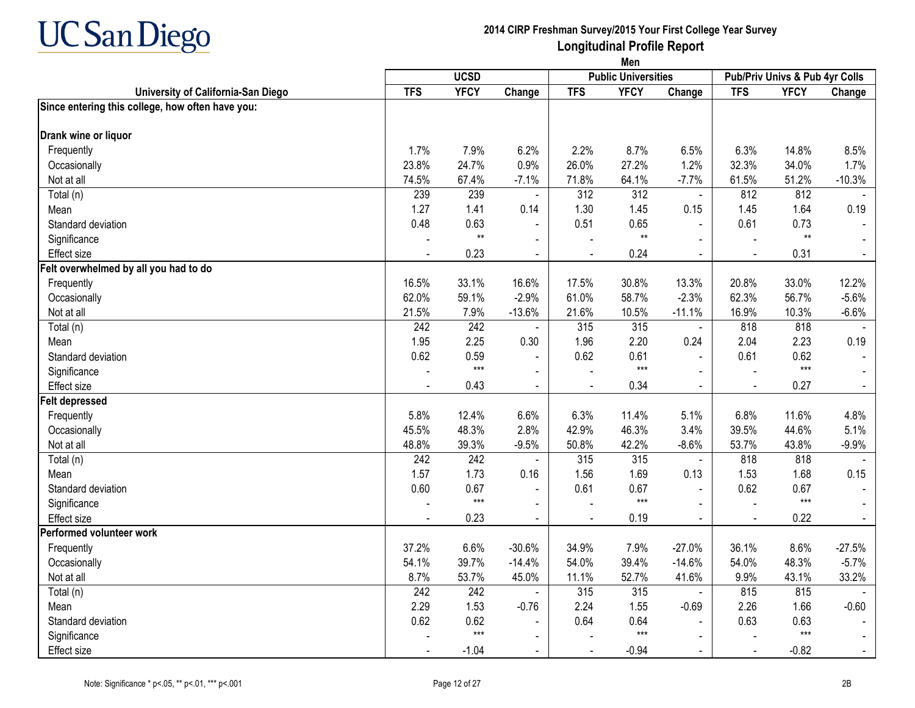

|                                                  |            |                  |                |                | Men                        |                |                |                                |          |
|--------------------------------------------------|------------|------------------|----------------|----------------|----------------------------|----------------|----------------|--------------------------------|----------|
|                                                  |            | <b>UCSD</b>      |                |                | <b>Public Universities</b> |                |                | Pub/Priv Univs & Pub 4yr Colls |          |
| University of California-San Diego               | <b>TFS</b> | <b>YFCY</b>      | Change         | <b>TFS</b>     | <b>YFCY</b>                | Change         | <b>TFS</b>     | <b>YFCY</b>                    | Change   |
| Since entering this college, how often have you: |            |                  |                |                |                            |                |                |                                |          |
| Drank wine or liquor                             |            |                  |                |                |                            |                |                |                                |          |
| Frequently                                       | 1.7%       | 7.9%             | 6.2%           | 2.2%           | 8.7%                       | 6.5%           | 6.3%           | 14.8%                          | 8.5%     |
| Occasionally                                     | 23.8%      | 24.7%            | 0.9%           | 26.0%          | 27.2%                      | 1.2%           | 32.3%          | 34.0%                          | 1.7%     |
| Not at all                                       | 74.5%      | 67.4%            | $-7.1%$        | 71.8%          | 64.1%                      | $-7.7%$        | 61.5%          | 51.2%                          | $-10.3%$ |
| Total (n)                                        | 239        | 239              | $\blacksquare$ | 312            | 312                        | $\blacksquare$ | 812            | 812                            |          |
| Mean                                             | 1.27       | 1.41             | 0.14           | 1.30           | 1.45                       | 0.15           | 1.45           | 1.64                           | 0.19     |
| Standard deviation                               | 0.48       | 0.63             | $\blacksquare$ | 0.51           | 0.65                       |                | 0.61           | 0.73                           |          |
| Significance                                     |            | $**$             |                |                | $^{\star\star}$            |                |                | $**$                           |          |
| <b>Effect size</b>                               |            | 0.23             | $\blacksquare$ | $\mathbf{r}$   | 0.24                       | $\blacksquare$ | $\sim$         | 0.31                           | $\sim$   |
| Felt overwhelmed by all you had to do            |            |                  |                |                |                            |                |                |                                |          |
| Frequently                                       | 16.5%      | 33.1%            | 16.6%          | 17.5%          | 30.8%                      | 13.3%          | 20.8%          | 33.0%                          | 12.2%    |
| Occasionally                                     | 62.0%      | 59.1%            | $-2.9%$        | 61.0%          | 58.7%                      | $-2.3%$        | 62.3%          | 56.7%                          | $-5.6%$  |
| Not at all                                       | 21.5%      | 7.9%             | $-13.6%$       | 21.6%          | 10.5%                      | $-11.1%$       | 16.9%          | 10.3%                          | $-6.6%$  |
| Total (n)                                        | 242        | 242              | $\mathbf{r}$   | 315            | 315                        | $\sim$         | 818            | 818                            |          |
| Mean                                             | 1.95       | 2.25             | 0.30           | 1.96           | 2.20                       | 0.24           | 2.04           | 2.23                           | 0.19     |
| Standard deviation                               | 0.62       | 0.59             | $\blacksquare$ | 0.62           | 0.61                       |                | 0.61           | 0.62                           |          |
| Significance                                     |            | $***$            |                |                | $***$                      |                |                | $***$                          |          |
| Effect size                                      |            | 0.43             | $\sim$         | $\blacksquare$ | 0.34                       | $\blacksquare$ | $\sim$         | 0.27                           | $\sim$   |
| <b>Felt depressed</b>                            |            |                  |                |                |                            |                |                |                                |          |
| Frequently                                       | 5.8%       | 12.4%            | 6.6%           | 6.3%           | 11.4%                      | 5.1%           | 6.8%           | 11.6%                          | 4.8%     |
| Occasionally                                     | 45.5%      | 48.3%            | 2.8%           | 42.9%          | 46.3%                      | 3.4%           | 39.5%          | 44.6%                          | 5.1%     |
| Not at all                                       | 48.8%      | 39.3%            | $-9.5%$        | 50.8%          | 42.2%                      | $-8.6%$        | 53.7%          | 43.8%                          | $-9.9%$  |
| Total (n)                                        | 242        | $\overline{242}$ | $\mathbf{r}$   | 315            | 315                        | $\blacksquare$ | 818            | 818                            |          |
| Mean                                             | 1.57       | 1.73             | 0.16           | 1.56           | 1.69                       | 0.13           | 1.53           | 1.68                           | 0.15     |
| Standard deviation                               | 0.60       | 0.67             | $\mathbf{r}$   | 0.61           | 0.67                       |                | 0.62           | 0.67                           |          |
| Significance                                     |            | $***$            | $\mathbf{r}$   |                | $***$                      |                |                | $***$                          |          |
| Effect size                                      | $\sim$     | 0.23             | $\sim$         | $\blacksquare$ | 0.19                       | $\blacksquare$ | $\blacksquare$ | 0.22                           | $\sim$   |
| Performed volunteer work                         |            |                  |                |                |                            |                |                |                                |          |
| Frequently                                       | 37.2%      | 6.6%             | $-30.6%$       | 34.9%          | 7.9%                       | $-27.0%$       | 36.1%          | 8.6%                           | $-27.5%$ |
| Occasionally                                     | 54.1%      | 39.7%            | $-14.4%$       | 54.0%          | 39.4%                      | $-14.6%$       | 54.0%          | 48.3%                          | $-5.7%$  |
| Not at all                                       | 8.7%       | 53.7%            | 45.0%          | 11.1%          | 52.7%                      | 41.6%          | 9.9%           | 43.1%                          | 33.2%    |
| Total (n)                                        | 242        | 242              |                | 315            | 315                        |                | 815            | 815                            |          |
| Mean                                             | 2.29       | 1.53             | $-0.76$        | 2.24           | 1.55                       | $-0.69$        | 2.26           | 1.66                           | $-0.60$  |
| Standard deviation                               | 0.62       | 0.62             | $\blacksquare$ | 0.64           | 0.64                       |                | 0.63           | 0.63                           |          |
| Significance                                     |            | $***$            | $\blacksquare$ |                | $***$                      |                |                | $***$                          |          |
| Effect size                                      |            | $-1.04$          | $\sim$         |                | $-0.94$                    | $\blacksquare$ |                | $-0.82$                        |          |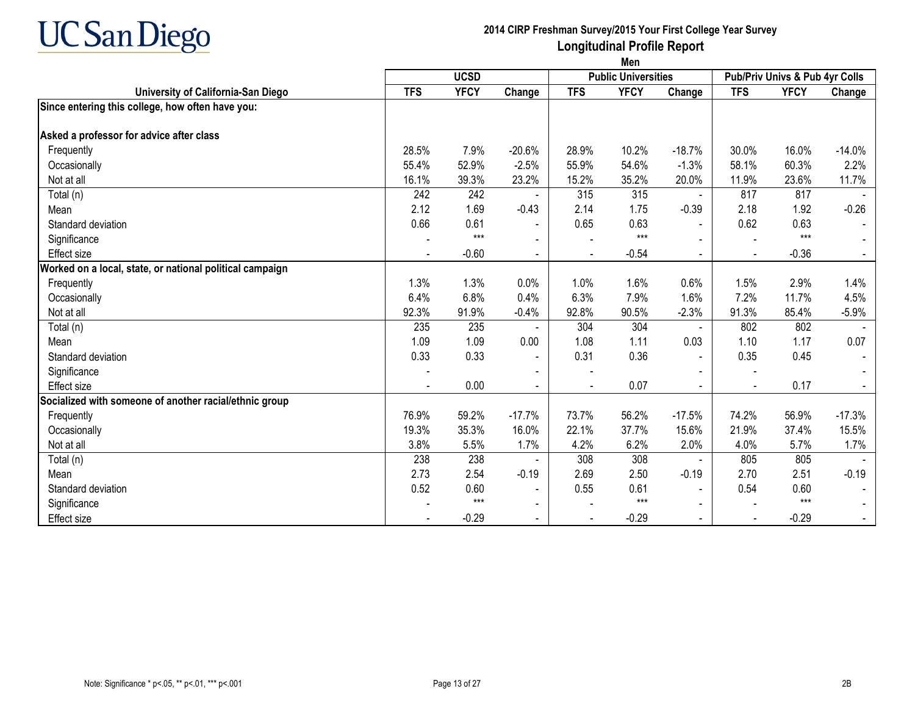

|                                                          | Men         |             |                |                |                            |                |                |                                |          |
|----------------------------------------------------------|-------------|-------------|----------------|----------------|----------------------------|----------------|----------------|--------------------------------|----------|
|                                                          | <b>UCSD</b> |             |                |                | <b>Public Universities</b> |                |                | Pub/Priv Univs & Pub 4yr Colls |          |
| University of California-San Diego                       | <b>TFS</b>  | <b>YFCY</b> | Change         | <b>TFS</b>     | <b>YFCY</b>                | Change         | <b>TFS</b>     | <b>YFCY</b>                    | Change   |
| Since entering this college, how often have you:         |             |             |                |                |                            |                |                |                                |          |
| Asked a professor for advice after class                 |             |             |                |                |                            |                |                |                                |          |
| Frequently                                               | 28.5%       | 7.9%        | $-20.6%$       | 28.9%          | 10.2%                      | $-18.7%$       | 30.0%          | 16.0%                          | $-14.0%$ |
| Occasionally                                             | 55.4%       | 52.9%       | $-2.5%$        | 55.9%          | 54.6%                      | $-1.3%$        | 58.1%          | 60.3%                          | 2.2%     |
| Not at all                                               | 16.1%       | 39.3%       | 23.2%          | 15.2%          | 35.2%                      | 20.0%          | 11.9%          | 23.6%                          | 11.7%    |
| Total (n)                                                | 242         | 242         |                | 315            | 315                        | $\blacksquare$ | 817            | 817                            |          |
| Mean                                                     | 2.12        | 1.69        | $-0.43$        | 2.14           | 1.75                       | $-0.39$        | 2.18           | 1.92                           | $-0.26$  |
| Standard deviation                                       | 0.66        | 0.61        |                | 0.65           | 0.63                       | $\blacksquare$ | 0.62           | 0.63                           |          |
| Significance                                             |             | $***$       |                |                | $***$                      |                |                | $***$                          |          |
| <b>Effect size</b>                                       |             | $-0.60$     | $\blacksquare$ |                | $-0.54$                    | $\blacksquare$ |                | $-0.36$                        |          |
| Worked on a local, state, or national political campaign |             |             |                |                |                            |                |                |                                |          |
| Frequently                                               | 1.3%        | 1.3%        | 0.0%           | 1.0%           | 1.6%                       | 0.6%           | 1.5%           | 2.9%                           | 1.4%     |
| Occasionally                                             | 6.4%        | 6.8%        | 0.4%           | 6.3%           | 7.9%                       | 1.6%           | 7.2%           | 11.7%                          | 4.5%     |
| Not at all                                               | 92.3%       | 91.9%       | $-0.4%$        | 92.8%          | 90.5%                      | $-2.3%$        | 91.3%          | 85.4%                          | $-5.9%$  |
| Total (n)                                                | 235         | 235         |                | 304            | 304                        | $\blacksquare$ | 802            | 802                            |          |
| Mean                                                     | 1.09        | 1.09        | 0.00           | 1.08           | 1.11                       | 0.03           | 1.10           | 1.17                           | 0.07     |
| Standard deviation                                       | 0.33        | 0.33        | $\sim$         | 0.31           | 0.36                       | $\blacksquare$ | 0.35           | 0.45                           |          |
| Significance                                             |             |             |                |                |                            |                |                |                                |          |
| Effect size                                              |             | 0.00        | $\blacksquare$ | $\blacksquare$ | 0.07                       | $\blacksquare$ | $\blacksquare$ | 0.17                           |          |
| Socialized with someone of another racial/ethnic group   |             |             |                |                |                            |                |                |                                |          |
| Frequently                                               | 76.9%       | 59.2%       | $-17.7%$       | 73.7%          | 56.2%                      | $-17.5%$       | 74.2%          | 56.9%                          | $-17.3%$ |
| Occasionally                                             | 19.3%       | 35.3%       | 16.0%          | 22.1%          | 37.7%                      | 15.6%          | 21.9%          | 37.4%                          | 15.5%    |
| Not at all                                               | 3.8%        | 5.5%        | 1.7%           | 4.2%           | 6.2%                       | 2.0%           | 4.0%           | 5.7%                           | 1.7%     |
| Total (n)                                                | 238         | 238         |                | 308            | 308                        | $\blacksquare$ | 805            | 805                            |          |
| Mean                                                     | 2.73        | 2.54        | $-0.19$        | 2.69           | 2.50                       | $-0.19$        | 2.70           | 2.51                           | $-0.19$  |
| Standard deviation                                       | 0.52        | 0.60        |                | 0.55           | 0.61                       | $\blacksquare$ | 0.54           | 0.60                           |          |
| Significance                                             |             | $***$       |                |                | $***$                      | $\blacksquare$ |                | $***$                          |          |
| <b>Effect size</b>                                       |             | $-0.29$     |                | $\blacksquare$ | $-0.29$                    | $\sim$         | $\blacksquare$ | $-0.29$                        |          |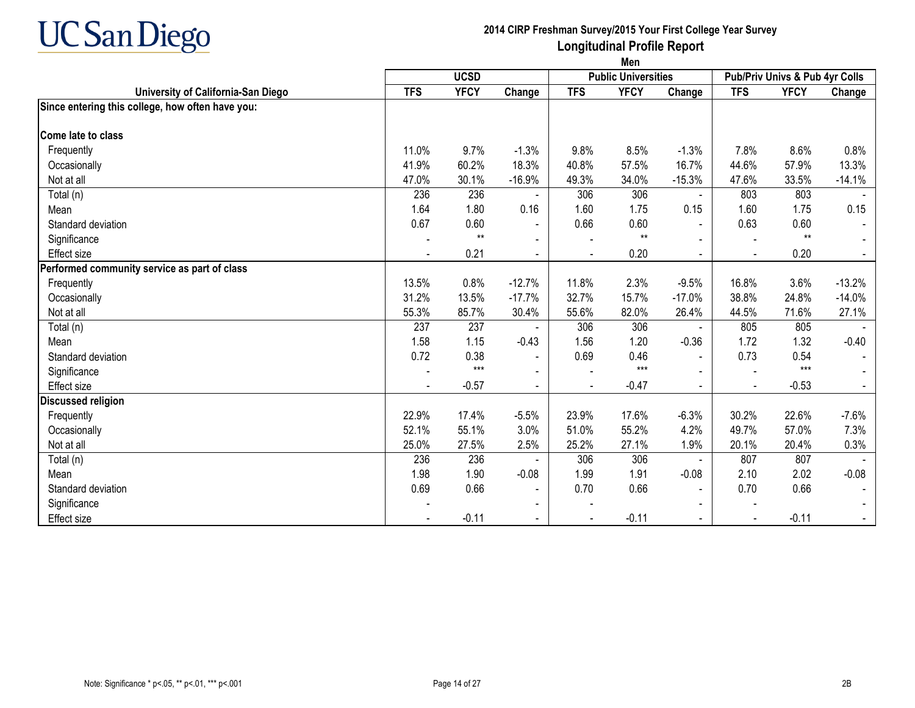

|                                                  | Men        |             |                |                |                            |                |                                |             |          |  |  |
|--------------------------------------------------|------------|-------------|----------------|----------------|----------------------------|----------------|--------------------------------|-------------|----------|--|--|
|                                                  |            | <b>UCSD</b> |                |                | <b>Public Universities</b> |                | Pub/Priv Univs & Pub 4yr Colls |             |          |  |  |
| University of California-San Diego               | <b>TFS</b> | <b>YFCY</b> | Change         | <b>TFS</b>     | <b>YFCY</b>                | Change         | <b>TFS</b>                     | <b>YFCY</b> | Change   |  |  |
| Since entering this college, how often have you: |            |             |                |                |                            |                |                                |             |          |  |  |
| Come late to class                               |            |             |                |                |                            |                |                                |             |          |  |  |
| Frequently                                       | 11.0%      | 9.7%        | $-1.3%$        | 9.8%           | 8.5%                       | $-1.3%$        | 7.8%                           | 8.6%        | 0.8%     |  |  |
| Occasionally                                     | 41.9%      | 60.2%       | 18.3%          | 40.8%          | 57.5%                      | 16.7%          | 44.6%                          | 57.9%       | 13.3%    |  |  |
| Not at all                                       | 47.0%      | 30.1%       | $-16.9%$       | 49.3%          | 34.0%                      | $-15.3%$       | 47.6%                          | 33.5%       | $-14.1%$ |  |  |
| Total (n)                                        | 236        | 236         |                | 306            | 306                        |                | 803                            | 803         |          |  |  |
| Mean                                             | 1.64       | 1.80        | 0.16           | 1.60           | 1.75                       | 0.15           | 1.60                           | 1.75        | 0.15     |  |  |
| Standard deviation                               | 0.67       | 0.60        | $\blacksquare$ | 0.66           | 0.60                       |                | 0.63                           | 0.60        |          |  |  |
| Significance                                     |            | $**$        | $\blacksquare$ |                | $**$                       |                |                                | $**$        |          |  |  |
| <b>Effect size</b>                               |            | 0.21        | $\sim$         | $\blacksquare$ | 0.20                       | $\blacksquare$ | $\blacksquare$                 | 0.20        |          |  |  |
| Performed community service as part of class     |            |             |                |                |                            |                |                                |             |          |  |  |
| Frequently                                       | 13.5%      | 0.8%        | $-12.7%$       | 11.8%          | 2.3%                       | $-9.5%$        | 16.8%                          | 3.6%        | $-13.2%$ |  |  |
| Occasionally                                     | 31.2%      | 13.5%       | $-17.7%$       | 32.7%          | 15.7%                      | $-17.0%$       | 38.8%                          | 24.8%       | $-14.0%$ |  |  |
| Not at all                                       | 55.3%      | 85.7%       | 30.4%          | 55.6%          | 82.0%                      | 26.4%          | 44.5%                          | 71.6%       | 27.1%    |  |  |
| Total (n)                                        | 237        | 237         |                | 306            | 306                        |                | 805                            | 805         |          |  |  |
| Mean                                             | 1.58       | 1.15        | $-0.43$        | 1.56           | 1.20                       | $-0.36$        | 1.72                           | 1.32        | $-0.40$  |  |  |
| Standard deviation                               | 0.72       | 0.38        | $\blacksquare$ | 0.69           | 0.46                       |                | 0.73                           | 0.54        |          |  |  |
| Significance                                     |            | $***$       | $\blacksquare$ |                | $***$                      |                |                                | $***$       |          |  |  |
| <b>Effect size</b>                               |            | $-0.57$     | $\blacksquare$ |                | $-0.47$                    | $\blacksquare$ | $\blacksquare$                 | $-0.53$     |          |  |  |
| Discussed religion                               |            |             |                |                |                            |                |                                |             |          |  |  |
| Frequently                                       | 22.9%      | 17.4%       | $-5.5%$        | 23.9%          | 17.6%                      | $-6.3%$        | 30.2%                          | 22.6%       | $-7.6%$  |  |  |
| Occasionally                                     | 52.1%      | 55.1%       | 3.0%           | 51.0%          | 55.2%                      | 4.2%           | 49.7%                          | 57.0%       | 7.3%     |  |  |
| Not at all                                       | 25.0%      | 27.5%       | 2.5%           | 25.2%          | 27.1%                      | 1.9%           | 20.1%                          | 20.4%       | 0.3%     |  |  |
| Total (n)                                        | 236        | 236         |                | 306            | 306                        | $\blacksquare$ | 807                            | 807         |          |  |  |
| Mean                                             | 1.98       | 1.90        | $-0.08$        | 1.99           | 1.91                       | $-0.08$        | 2.10                           | 2.02        | $-0.08$  |  |  |
| Standard deviation                               | 0.69       | 0.66        | $\blacksquare$ | 0.70           | 0.66                       | $\sim$         | 0.70                           | 0.66        |          |  |  |
| Significance                                     |            |             | $\blacksquare$ |                |                            |                |                                |             |          |  |  |
| <b>Effect size</b>                               |            | $-0.11$     |                |                | $-0.11$                    |                | $\blacksquare$                 | $-0.11$     |          |  |  |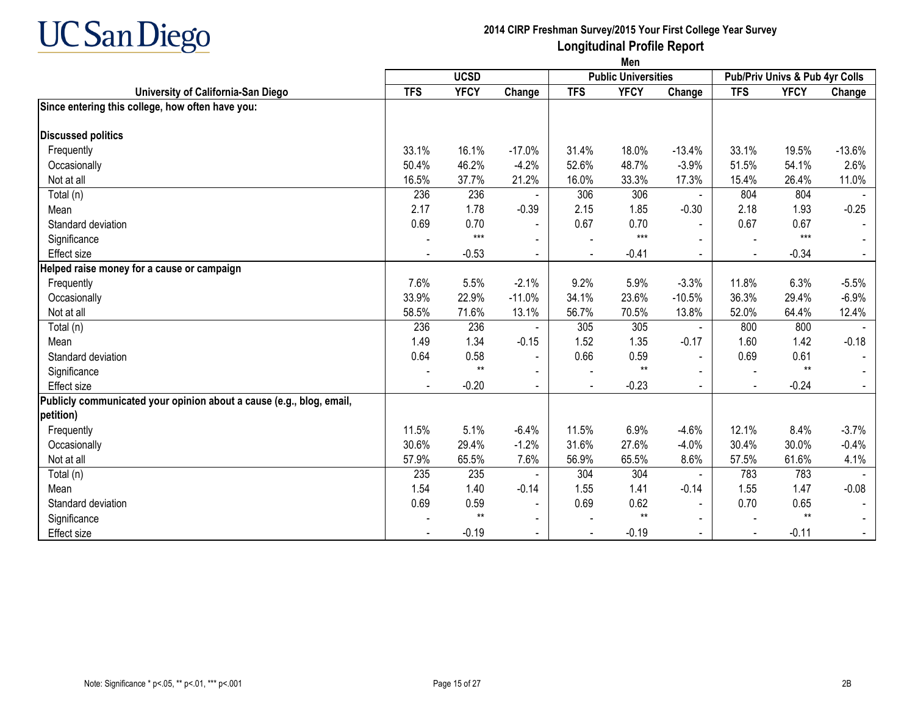

|                                                                      | Men        |             |                |            |                            |                |                                |             |                          |  |  |  |
|----------------------------------------------------------------------|------------|-------------|----------------|------------|----------------------------|----------------|--------------------------------|-------------|--------------------------|--|--|--|
|                                                                      |            | <b>UCSD</b> |                |            | <b>Public Universities</b> |                | Pub/Priv Univs & Pub 4yr Colls |             |                          |  |  |  |
| University of California-San Diego                                   | <b>TFS</b> | <b>YFCY</b> | Change         | <b>TFS</b> | <b>YFCY</b>                | Change         | <b>TFS</b>                     | <b>YFCY</b> | Change                   |  |  |  |
| Since entering this college, how often have you:                     |            |             |                |            |                            |                |                                |             |                          |  |  |  |
| <b>Discussed politics</b>                                            |            |             |                |            |                            |                |                                |             |                          |  |  |  |
| Frequently                                                           | 33.1%      | 16.1%       | $-17.0%$       | 31.4%      | 18.0%                      | $-13.4%$       | 33.1%                          | 19.5%       | $-13.6%$                 |  |  |  |
| Occasionally                                                         | 50.4%      | 46.2%       | $-4.2%$        | 52.6%      | 48.7%                      | $-3.9%$        | 51.5%                          | 54.1%       | 2.6%                     |  |  |  |
| Not at all                                                           | 16.5%      | 37.7%       | 21.2%          | 16.0%      | 33.3%                      | 17.3%          | 15.4%                          | 26.4%       | 11.0%                    |  |  |  |
| Total (n)                                                            | 236        | 236         |                | 306        | 306                        |                | 804                            | 804         |                          |  |  |  |
| Mean                                                                 | 2.17       | 1.78        | $-0.39$        | 2.15       | 1.85                       | $-0.30$        | 2.18                           | 1.93        | $-0.25$                  |  |  |  |
| Standard deviation                                                   | 0.69       | 0.70        |                | 0.67       | 0.70                       |                | 0.67                           | 0.67        |                          |  |  |  |
| Significance                                                         |            | $***$       |                |            | $***$                      |                |                                | $***$       |                          |  |  |  |
| <b>Effect size</b>                                                   |            | $-0.53$     | $\sim$         |            | $-0.41$                    | $\blacksquare$ | $\blacksquare$                 | $-0.34$     | $\sim$                   |  |  |  |
| Helped raise money for a cause or campaign                           |            |             |                |            |                            |                |                                |             |                          |  |  |  |
| Frequently                                                           | 7.6%       | 5.5%        | $-2.1%$        | 9.2%       | 5.9%                       | $-3.3%$        | 11.8%                          | 6.3%        | $-5.5%$                  |  |  |  |
| Occasionally                                                         | 33.9%      | 22.9%       | $-11.0%$       | 34.1%      | 23.6%                      | $-10.5%$       | 36.3%                          | 29.4%       | $-6.9%$                  |  |  |  |
| Not at all                                                           | 58.5%      | 71.6%       | 13.1%          | 56.7%      | 70.5%                      | 13.8%          | 52.0%                          | 64.4%       | 12.4%                    |  |  |  |
| Total (n)                                                            | 236        | 236         |                | 305        | 305                        |                | 800                            | 800         |                          |  |  |  |
| Mean                                                                 | 1.49       | 1.34        | $-0.15$        | 1.52       | 1.35                       | $-0.17$        | 1.60                           | 1.42        | $-0.18$                  |  |  |  |
| Standard deviation                                                   | 0.64       | 0.58        | $\sim$         | 0.66       | 0.59                       |                | 0.69                           | 0.61        | $\overline{\phantom{a}}$ |  |  |  |
| Significance                                                         |            | $**$        | $\blacksquare$ |            | $***$                      | $\blacksquare$ |                                | $***$       |                          |  |  |  |
| Effect size                                                          |            | $-0.20$     | $\sim$         |            | $-0.23$                    |                |                                | $-0.24$     |                          |  |  |  |
| Publicly communicated your opinion about a cause (e.g., blog, email, |            |             |                |            |                            |                |                                |             |                          |  |  |  |
| petition)                                                            |            |             |                |            |                            |                |                                |             |                          |  |  |  |
| Frequently                                                           | 11.5%      | 5.1%        | $-6.4%$        | 11.5%      | 6.9%                       | $-4.6%$        | 12.1%                          | 8.4%        | $-3.7%$                  |  |  |  |
| Occasionally                                                         | 30.6%      | 29.4%       | $-1.2%$        | 31.6%      | 27.6%                      | $-4.0%$        | 30.4%                          | 30.0%       | $-0.4%$                  |  |  |  |
| Not at all                                                           | 57.9%      | 65.5%       | 7.6%           | 56.9%      | 65.5%                      | 8.6%           | 57.5%                          | 61.6%       | 4.1%                     |  |  |  |
| Total (n)                                                            | 235        | 235         |                | 304        | 304                        |                | 783                            | 783         |                          |  |  |  |
| Mean                                                                 | 1.54       | 1.40        | $-0.14$        | 1.55       | 1.41                       | $-0.14$        | 1.55                           | 1.47        | $-0.08$                  |  |  |  |
| Standard deviation                                                   | 0.69       | 0.59        | $\blacksquare$ | 0.69       | 0.62                       |                | 0.70                           | 0.65        |                          |  |  |  |
| Significance                                                         |            | $**$        | $\blacksquare$ |            | $**$                       |                |                                | $**$        |                          |  |  |  |
| <b>Effect size</b>                                                   |            | $-0.19$     | $\sim$         |            | $-0.19$                    | $\blacksquare$ | $\blacksquare$                 | $-0.11$     | $\blacksquare$           |  |  |  |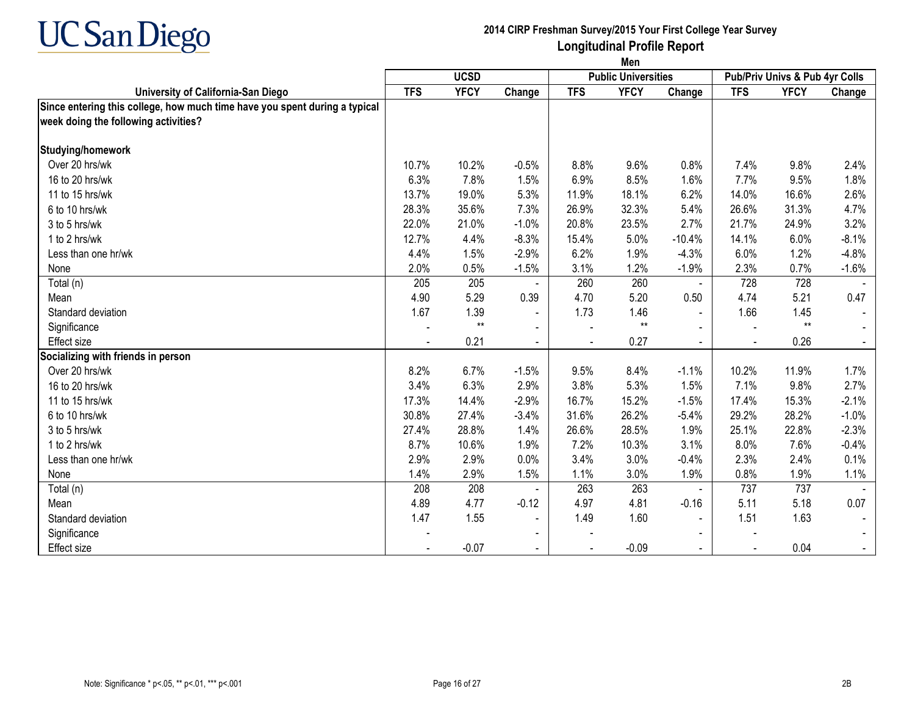

|                                                                            | Men        |                 |                |            |                            |                |            |                                |         |
|----------------------------------------------------------------------------|------------|-----------------|----------------|------------|----------------------------|----------------|------------|--------------------------------|---------|
|                                                                            |            | <b>UCSD</b>     |                |            | <b>Public Universities</b> |                |            | Pub/Priv Univs & Pub 4yr Colls |         |
| University of California-San Diego                                         | <b>TFS</b> | <b>YFCY</b>     | Change         | <b>TFS</b> | <b>YFCY</b>                | Change         | <b>TFS</b> | <b>YFCY</b>                    | Change  |
| Since entering this college, how much time have you spent during a typical |            |                 |                |            |                            |                |            |                                |         |
| week doing the following activities?                                       |            |                 |                |            |                            |                |            |                                |         |
| Studying/homework                                                          |            |                 |                |            |                            |                |            |                                |         |
| Over 20 hrs/wk                                                             | 10.7%      | 10.2%           | $-0.5%$        | 8.8%       | 9.6%                       | 0.8%           | 7.4%       | 9.8%                           | 2.4%    |
| 16 to 20 hrs/wk                                                            | 6.3%       | 7.8%            | 1.5%           | 6.9%       | 8.5%                       | 1.6%           | 7.7%       | 9.5%                           | 1.8%    |
| 11 to 15 hrs/wk                                                            | 13.7%      | 19.0%           | 5.3%           | 11.9%      | 18.1%                      | 6.2%           | 14.0%      | 16.6%                          | 2.6%    |
| 6 to 10 hrs/wk                                                             | 28.3%      | 35.6%           | 7.3%           | 26.9%      | 32.3%                      | 5.4%           | 26.6%      | 31.3%                          | 4.7%    |
| 3 to 5 hrs/wk                                                              | 22.0%      | 21.0%           | $-1.0%$        | 20.8%      | 23.5%                      | 2.7%           | 21.7%      | 24.9%                          | 3.2%    |
| 1 to 2 hrs/wk                                                              | 12.7%      | 4.4%            | $-8.3%$        | 15.4%      | 5.0%                       | $-10.4%$       | 14.1%      | 6.0%                           | $-8.1%$ |
| Less than one hr/wk                                                        | 4.4%       | 1.5%            | $-2.9%$        | 6.2%       | 1.9%                       | $-4.3%$        | 6.0%       | 1.2%                           | $-4.8%$ |
| None                                                                       | 2.0%       | 0.5%            | $-1.5%$        | 3.1%       | 1.2%                       | $-1.9%$        | 2.3%       | 0.7%                           | $-1.6%$ |
| Total (n)                                                                  | 205        | 205             |                | 260        | 260                        | $\blacksquare$ | 728        | 728                            |         |
| Mean                                                                       | 4.90       | 5.29            | 0.39           | 4.70       | 5.20                       | 0.50           | 4.74       | 5.21                           | 0.47    |
| Standard deviation                                                         | 1.67       | 1.39            | $\blacksquare$ | 1.73       | 1.46                       | $\blacksquare$ | 1.66       | 1.45                           |         |
| Significance                                                               |            | $^{\star\star}$ | $\blacksquare$ |            | $^{\star\star}$            | $\sim$         |            | $**$                           |         |
| <b>Effect size</b>                                                         |            | 0.21            | $\blacksquare$ |            | 0.27                       | $\blacksquare$ |            | 0.26                           |         |
| Socializing with friends in person                                         |            |                 |                |            |                            |                |            |                                |         |
| Over 20 hrs/wk                                                             | 8.2%       | 6.7%            | $-1.5%$        | 9.5%       | 8.4%                       | $-1.1%$        | 10.2%      | 11.9%                          | 1.7%    |
| 16 to 20 hrs/wk                                                            | 3.4%       | 6.3%            | 2.9%           | 3.8%       | 5.3%                       | 1.5%           | 7.1%       | 9.8%                           | 2.7%    |
| 11 to 15 hrs/wk                                                            | 17.3%      | 14.4%           | $-2.9%$        | 16.7%      | 15.2%                      | $-1.5%$        | 17.4%      | 15.3%                          | $-2.1%$ |
| 6 to 10 hrs/wk                                                             | 30.8%      | 27.4%           | $-3.4%$        | 31.6%      | 26.2%                      | $-5.4%$        | 29.2%      | 28.2%                          | $-1.0%$ |
| 3 to 5 hrs/wk                                                              | 27.4%      | 28.8%           | 1.4%           | 26.6%      | 28.5%                      | 1.9%           | 25.1%      | 22.8%                          | $-2.3%$ |
| 1 to 2 hrs/wk                                                              | 8.7%       | 10.6%           | 1.9%           | 7.2%       | 10.3%                      | 3.1%           | 8.0%       | 7.6%                           | $-0.4%$ |
| Less than one hr/wk                                                        | 2.9%       | 2.9%            | 0.0%           | 3.4%       | 3.0%                       | $-0.4%$        | 2.3%       | 2.4%                           | 0.1%    |
| None                                                                       | 1.4%       | 2.9%            | 1.5%           | 1.1%       | 3.0%                       | 1.9%           | 0.8%       | 1.9%                           | 1.1%    |
| Total (n)                                                                  | 208        | 208             |                | 263        | 263                        | $\blacksquare$ | 737        | 737                            |         |
| Mean                                                                       | 4.89       | 4.77            | $-0.12$        | 4.97       | 4.81                       | $-0.16$        | 5.11       | 5.18                           | 0.07    |
| Standard deviation                                                         | 1.47       | 1.55            | $\blacksquare$ | 1.49       | 1.60                       | $\blacksquare$ | 1.51       | 1.63                           |         |
| Significance                                                               |            |                 | $\blacksquare$ |            |                            | $\blacksquare$ |            |                                |         |
| <b>Effect size</b>                                                         |            | $-0.07$         |                |            | $-0.09$                    |                |            | 0.04                           |         |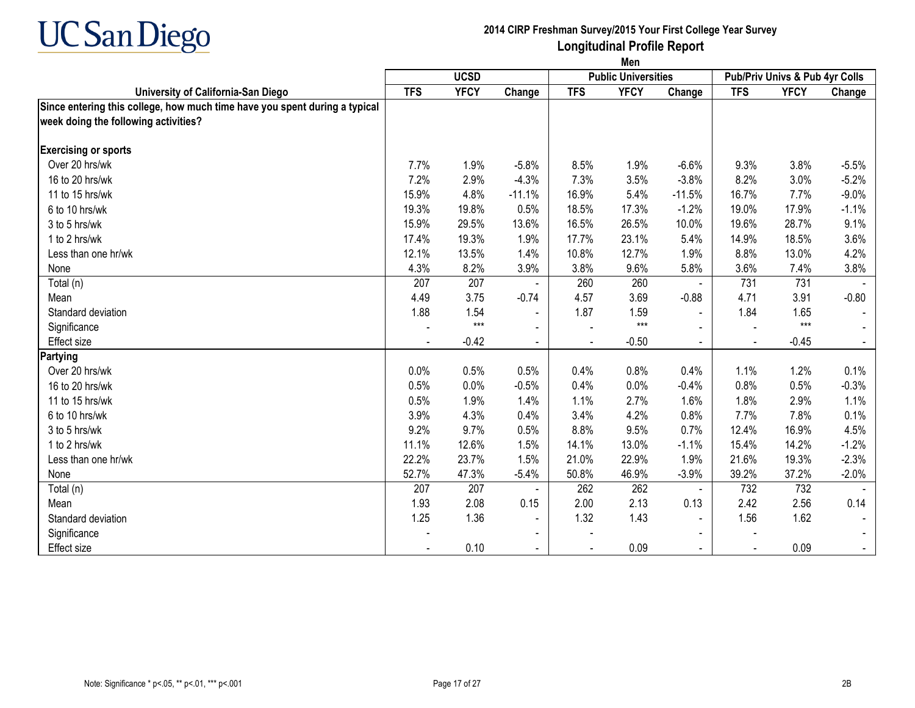

|                                                                            | Men        |             |                |            |                            |                |                                |             |         |
|----------------------------------------------------------------------------|------------|-------------|----------------|------------|----------------------------|----------------|--------------------------------|-------------|---------|
|                                                                            |            | <b>UCSD</b> |                |            | <b>Public Universities</b> |                | Pub/Priv Univs & Pub 4yr Colls |             |         |
| University of California-San Diego                                         | <b>TFS</b> | <b>YFCY</b> | Change         | <b>TFS</b> | <b>YFCY</b>                | Change         | <b>TFS</b>                     | <b>YFCY</b> | Change  |
| Since entering this college, how much time have you spent during a typical |            |             |                |            |                            |                |                                |             |         |
| week doing the following activities?                                       |            |             |                |            |                            |                |                                |             |         |
| <b>Exercising or sports</b>                                                |            |             |                |            |                            |                |                                |             |         |
| Over 20 hrs/wk                                                             | 7.7%       | 1.9%        | $-5.8%$        | 8.5%       | 1.9%                       | $-6.6%$        | 9.3%                           | 3.8%        | $-5.5%$ |
| 16 to 20 hrs/wk                                                            | 7.2%       | 2.9%        | $-4.3%$        | 7.3%       | 3.5%                       | $-3.8%$        | 8.2%                           | 3.0%        | $-5.2%$ |
| 11 to 15 hrs/wk                                                            | 15.9%      | 4.8%        | $-11.1%$       | 16.9%      | 5.4%                       | $-11.5%$       | 16.7%                          | 7.7%        | $-9.0%$ |
| 6 to 10 hrs/wk                                                             | 19.3%      | 19.8%       | 0.5%           | 18.5%      | 17.3%                      | $-1.2%$        | 19.0%                          | 17.9%       | $-1.1%$ |
| 3 to 5 hrs/wk                                                              | 15.9%      | 29.5%       | 13.6%          | 16.5%      | 26.5%                      | 10.0%          | 19.6%                          | 28.7%       | 9.1%    |
| 1 to 2 hrs/wk                                                              | 17.4%      | 19.3%       | 1.9%           | 17.7%      | 23.1%                      | 5.4%           | 14.9%                          | 18.5%       | 3.6%    |
| Less than one hr/wk                                                        | 12.1%      | 13.5%       | 1.4%           | 10.8%      | 12.7%                      | 1.9%           | 8.8%                           | 13.0%       | 4.2%    |
| None                                                                       | 4.3%       | 8.2%        | 3.9%           | 3.8%       | 9.6%                       | 5.8%           | 3.6%                           | 7.4%        | 3.8%    |
| Total (n)                                                                  | 207        | 207         |                | 260        | 260                        | $\blacksquare$ | 731                            | 731         |         |
| Mean                                                                       | 4.49       | 3.75        | $-0.74$        | 4.57       | 3.69                       | $-0.88$        | 4.71                           | 3.91        | $-0.80$ |
| Standard deviation                                                         | 1.88       | 1.54        | $\blacksquare$ | 1.87       | 1.59                       | $\blacksquare$ | 1.84                           | 1.65        |         |
| Significance                                                               |            | $***$       | $\blacksquare$ |            | $***$                      |                |                                | $***$       |         |
| Effect size                                                                |            | $-0.42$     | $\blacksquare$ |            | $-0.50$                    | $\blacksquare$ | $\sim$                         | $-0.45$     |         |
| Partying                                                                   |            |             |                |            |                            |                |                                |             |         |
| Over 20 hrs/wk                                                             | 0.0%       | 0.5%        | 0.5%           | 0.4%       | 0.8%                       | 0.4%           | 1.1%                           | 1.2%        | 0.1%    |
| 16 to 20 hrs/wk                                                            | 0.5%       | 0.0%        | $-0.5%$        | 0.4%       | 0.0%                       | $-0.4%$        | 0.8%                           | 0.5%        | $-0.3%$ |
| 11 to 15 hrs/wk                                                            | 0.5%       | 1.9%        | 1.4%           | 1.1%       | 2.7%                       | 1.6%           | 1.8%                           | 2.9%        | 1.1%    |
| 6 to 10 hrs/wk                                                             | 3.9%       | 4.3%        | 0.4%           | 3.4%       | 4.2%                       | 0.8%           | 7.7%                           | 7.8%        | 0.1%    |
| 3 to 5 hrs/wk                                                              | 9.2%       | 9.7%        | 0.5%           | 8.8%       | 9.5%                       | 0.7%           | 12.4%                          | 16.9%       | 4.5%    |
| 1 to 2 hrs/wk                                                              | 11.1%      | 12.6%       | 1.5%           | 14.1%      | 13.0%                      | $-1.1%$        | 15.4%                          | 14.2%       | $-1.2%$ |
| Less than one hr/wk                                                        | 22.2%      | 23.7%       | 1.5%           | 21.0%      | 22.9%                      | 1.9%           | 21.6%                          | 19.3%       | $-2.3%$ |
| None                                                                       | 52.7%      | 47.3%       | $-5.4%$        | 50.8%      | 46.9%                      | $-3.9%$        | 39.2%                          | 37.2%       | $-2.0%$ |
| Total (n)                                                                  | 207        | 207         |                | 262        | 262                        | $\blacksquare$ | 732                            | 732         |         |
| Mean                                                                       | 1.93       | 2.08        | 0.15           | 2.00       | 2.13                       | 0.13           | 2.42                           | 2.56        | 0.14    |
| Standard deviation                                                         | 1.25       | 1.36        | $\sim$         | 1.32       | 1.43                       | $\blacksquare$ | 1.56                           | 1.62        |         |
| Significance                                                               |            |             | $\blacksquare$ |            |                            | $\blacksquare$ |                                |             |         |
| <b>Effect size</b>                                                         |            | 0.10        |                |            | 0.09                       |                |                                | 0.09        |         |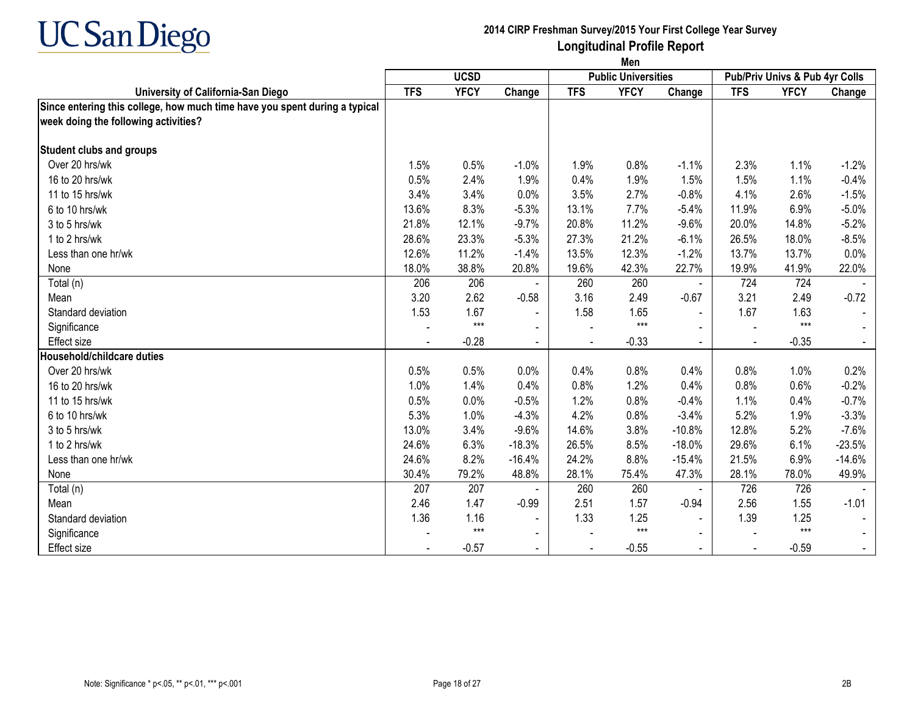

|                                                                            | Men        |             |                          |            |                            |                |            |                                |          |
|----------------------------------------------------------------------------|------------|-------------|--------------------------|------------|----------------------------|----------------|------------|--------------------------------|----------|
|                                                                            |            | <b>UCSD</b> |                          |            | <b>Public Universities</b> |                |            | Pub/Priv Univs & Pub 4yr Colls |          |
| University of California-San Diego                                         | <b>TFS</b> | <b>YFCY</b> | Change                   | <b>TFS</b> | <b>YFCY</b>                | Change         | <b>TFS</b> | <b>YFCY</b>                    | Change   |
| Since entering this college, how much time have you spent during a typical |            |             |                          |            |                            |                |            |                                |          |
| week doing the following activities?                                       |            |             |                          |            |                            |                |            |                                |          |
| <b>Student clubs and groups</b>                                            |            |             |                          |            |                            |                |            |                                |          |
| Over 20 hrs/wk                                                             | 1.5%       | 0.5%        | $-1.0%$                  | 1.9%       | 0.8%                       | $-1.1%$        | 2.3%       | 1.1%                           | $-1.2%$  |
| 16 to 20 hrs/wk                                                            | 0.5%       | 2.4%        | 1.9%                     | 0.4%       | 1.9%                       | 1.5%           | 1.5%       | 1.1%                           | $-0.4%$  |
| 11 to 15 hrs/wk                                                            | 3.4%       | 3.4%        | 0.0%                     | 3.5%       | 2.7%                       | $-0.8%$        | 4.1%       | 2.6%                           | $-1.5%$  |
| 6 to 10 hrs/wk                                                             | 13.6%      | 8.3%        | $-5.3%$                  | 13.1%      | 7.7%                       | $-5.4%$        | 11.9%      | 6.9%                           | $-5.0%$  |
| 3 to 5 hrs/wk                                                              | 21.8%      | 12.1%       | $-9.7%$                  | 20.8%      | 11.2%                      | $-9.6%$        | 20.0%      | 14.8%                          | $-5.2%$  |
| 1 to 2 hrs/wk                                                              | 28.6%      | 23.3%       | $-5.3%$                  | 27.3%      | 21.2%                      | $-6.1%$        | 26.5%      | 18.0%                          | $-8.5%$  |
| Less than one hr/wk                                                        | 12.6%      | 11.2%       | $-1.4%$                  | 13.5%      | 12.3%                      | $-1.2%$        | 13.7%      | 13.7%                          | 0.0%     |
| None                                                                       | 18.0%      | 38.8%       | 20.8%                    | 19.6%      | 42.3%                      | 22.7%          | 19.9%      | 41.9%                          | 22.0%    |
| Total (n)                                                                  | 206        | 206         |                          | 260        | 260                        | $\blacksquare$ | 724        | 724                            |          |
| Mean                                                                       | 3.20       | 2.62        | $-0.58$                  | 3.16       | 2.49                       | $-0.67$        | 3.21       | 2.49                           | $-0.72$  |
| Standard deviation                                                         | 1.53       | 1.67        | $\blacksquare$           | 1.58       | 1.65                       | $\blacksquare$ | 1.67       | 1.63                           |          |
| Significance                                                               |            | $***$       | $\overline{\phantom{0}}$ |            | $***$                      |                |            | $***$                          |          |
| Effect size                                                                |            | $-0.28$     |                          |            | $-0.33$                    | $\blacksquare$ | $\sim$     | $-0.35$                        |          |
| Household/childcare duties                                                 |            |             |                          |            |                            |                |            |                                |          |
| Over 20 hrs/wk                                                             | 0.5%       | 0.5%        | 0.0%                     | 0.4%       | 0.8%                       | 0.4%           | 0.8%       | 1.0%                           | 0.2%     |
| 16 to 20 hrs/wk                                                            | 1.0%       | 1.4%        | 0.4%                     | 0.8%       | 1.2%                       | 0.4%           | 0.8%       | 0.6%                           | $-0.2%$  |
| 11 to 15 hrs/wk                                                            | 0.5%       | 0.0%        | $-0.5%$                  | 1.2%       | 0.8%                       | $-0.4%$        | 1.1%       | 0.4%                           | $-0.7%$  |
| 6 to 10 hrs/wk                                                             | 5.3%       | 1.0%        | $-4.3%$                  | 4.2%       | 0.8%                       | $-3.4%$        | 5.2%       | 1.9%                           | $-3.3%$  |
| 3 to 5 hrs/wk                                                              | 13.0%      | 3.4%        | $-9.6%$                  | 14.6%      | 3.8%                       | $-10.8%$       | 12.8%      | 5.2%                           | $-7.6%$  |
| 1 to 2 hrs/wk                                                              | 24.6%      | 6.3%        | $-18.3%$                 | 26.5%      | 8.5%                       | $-18.0%$       | 29.6%      | 6.1%                           | $-23.5%$ |
| Less than one hr/wk                                                        | 24.6%      | 8.2%        | $-16.4%$                 | 24.2%      | 8.8%                       | $-15.4%$       | 21.5%      | 6.9%                           | $-14.6%$ |
| None                                                                       | 30.4%      | 79.2%       | 48.8%                    | 28.1%      | 75.4%                      | 47.3%          | 28.1%      | 78.0%                          | 49.9%    |
| Total (n)                                                                  | 207        | 207         |                          | 260        | 260                        | $\blacksquare$ | 726        | 726                            |          |
| Mean                                                                       | 2.46       | 1.47        | $-0.99$                  | 2.51       | 1.57                       | $-0.94$        | 2.56       | 1.55                           | $-1.01$  |
| Standard deviation                                                         | 1.36       | 1.16        | $\blacksquare$           | 1.33       | 1.25                       | $\blacksquare$ | 1.39       | 1.25                           |          |
| Significance                                                               |            | $***$       | $\blacksquare$           |            | $***$                      |                |            | $***$                          |          |
| <b>Effect size</b>                                                         |            | $-0.57$     |                          |            | $-0.55$                    |                |            | $-0.59$                        |          |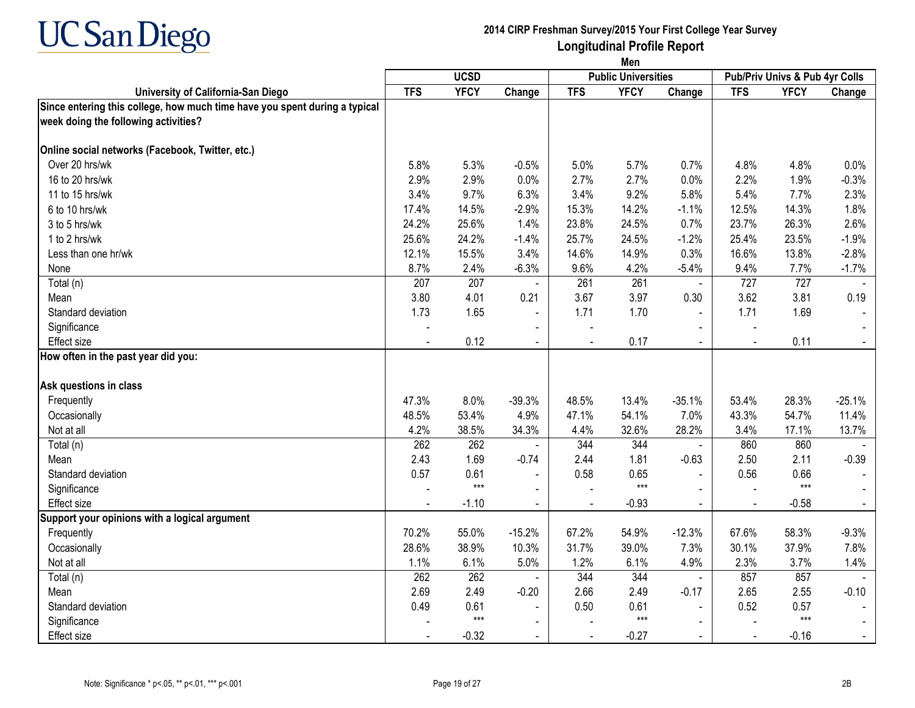

|                                                                                                                    |            |             |                |                | Men                        |                |            |                                |          |  |
|--------------------------------------------------------------------------------------------------------------------|------------|-------------|----------------|----------------|----------------------------|----------------|------------|--------------------------------|----------|--|
|                                                                                                                    |            | <b>UCSD</b> |                |                | <b>Public Universities</b> |                |            | Pub/Priv Univs & Pub 4yr Colls |          |  |
| University of California-San Diego                                                                                 | <b>TFS</b> | <b>YFCY</b> | Change         | <b>TFS</b>     | <b>YFCY</b>                | Change         | <b>TFS</b> | <b>YFCY</b>                    | Change   |  |
| Since entering this college, how much time have you spent during a typical<br>week doing the following activities? |            |             |                |                |                            |                |            |                                |          |  |
| Online social networks (Facebook, Twitter, etc.)                                                                   |            |             |                |                |                            |                |            |                                |          |  |
| Over 20 hrs/wk                                                                                                     | 5.8%       | 5.3%        | $-0.5%$        | 5.0%           | 5.7%                       | 0.7%           | 4.8%       | 4.8%                           | 0.0%     |  |
| 16 to 20 hrs/wk                                                                                                    | 2.9%       | 2.9%        | 0.0%           | 2.7%           | 2.7%                       | 0.0%           | 2.2%       | 1.9%                           | $-0.3%$  |  |
| 11 to 15 hrs/wk                                                                                                    | 3.4%       | 9.7%        | 6.3%           | 3.4%           | 9.2%                       | 5.8%           | 5.4%       | 7.7%                           | 2.3%     |  |
| 6 to 10 hrs/wk                                                                                                     | 17.4%      | 14.5%       | $-2.9%$        | 15.3%          | 14.2%                      | $-1.1%$        | 12.5%      | 14.3%                          | 1.8%     |  |
| 3 to 5 hrs/wk                                                                                                      | 24.2%      | 25.6%       | 1.4%           | 23.8%          | 24.5%                      | 0.7%           | 23.7%      | 26.3%                          | 2.6%     |  |
| 1 to 2 hrs/wk                                                                                                      | 25.6%      | 24.2%       | $-1.4%$        | 25.7%          | 24.5%                      | $-1.2%$        | 25.4%      | 23.5%                          | $-1.9%$  |  |
| Less than one hr/wk                                                                                                | 12.1%      | 15.5%       | 3.4%           | 14.6%          | 14.9%                      | 0.3%           | 16.6%      | 13.8%                          | $-2.8%$  |  |
| None                                                                                                               | 8.7%       | 2.4%        | $-6.3%$        | 9.6%           | 4.2%                       | $-5.4%$        | 9.4%       | 7.7%                           | $-1.7%$  |  |
| Total (n)                                                                                                          | 207        | 207         | $\blacksquare$ | 261            | 261                        | $\blacksquare$ | 727        | 727                            | $\sim$   |  |
| Mean                                                                                                               | 3.80       | 4.01        | 0.21           | 3.67           | 3.97                       | 0.30           | 3.62       | 3.81                           | 0.19     |  |
| Standard deviation                                                                                                 | 1.73       | 1.65        | $\blacksquare$ | 1.71           | 1.70                       | $\sim$         | 1.71       | 1.69                           |          |  |
| Significance                                                                                                       |            |             | $\blacksquare$ |                |                            | $\blacksquare$ |            |                                |          |  |
| <b>Effect size</b>                                                                                                 |            | 0.12        | $\sim$         |                | 0.17                       |                | $\sim$     | 0.11                           |          |  |
| How often in the past year did you:                                                                                |            |             |                |                |                            |                |            |                                |          |  |
| Ask questions in class                                                                                             |            |             |                |                |                            |                |            |                                |          |  |
| Frequently                                                                                                         | 47.3%      | 8.0%        | $-39.3%$       | 48.5%          | 13.4%                      | $-35.1%$       | 53.4%      | 28.3%                          | $-25.1%$ |  |
| Occasionally                                                                                                       | 48.5%      | 53.4%       | 4.9%           | 47.1%          | 54.1%                      | 7.0%           | 43.3%      | 54.7%                          | 11.4%    |  |
| Not at all                                                                                                         | 4.2%       | 38.5%       | 34.3%          | 4.4%           | 32.6%                      | 28.2%          | 3.4%       | 17.1%                          | 13.7%    |  |
| Total (n)                                                                                                          | 262        | 262         |                | 344            | 344                        |                | 860        | 860                            |          |  |
| Mean                                                                                                               | 2.43       | 1.69        | $-0.74$        | 2.44           | 1.81                       | $-0.63$        | 2.50       | 2.11                           | $-0.39$  |  |
| Standard deviation                                                                                                 | 0.57       | 0.61        |                | 0.58           | 0.65                       |                | 0.56       | 0.66                           |          |  |
| Significance                                                                                                       |            | $***$       | $\blacksquare$ |                | $***$                      |                |            | $***$                          |          |  |
| <b>Effect size</b>                                                                                                 |            | $-1.10$     | $\blacksquare$ |                | $-0.93$                    |                |            | $-0.58$                        |          |  |
| Support your opinions with a logical argument                                                                      |            |             |                |                |                            |                |            |                                |          |  |
| Frequently                                                                                                         | 70.2%      | 55.0%       | $-15.2%$       | 67.2%          | 54.9%                      | $-12.3%$       | 67.6%      | 58.3%                          | $-9.3%$  |  |
| Occasionally                                                                                                       | 28.6%      | 38.9%       | 10.3%          | 31.7%          | 39.0%                      | 7.3%           | 30.1%      | 37.9%                          | 7.8%     |  |
| Not at all                                                                                                         | 1.1%       | 6.1%        | 5.0%           | 1.2%           | 6.1%                       | 4.9%           | 2.3%       | 3.7%                           | 1.4%     |  |
| Total (n)                                                                                                          | 262        | 262         |                | 344            | 344                        | $\blacksquare$ | 857        | 857                            |          |  |
| Mean                                                                                                               | 2.69       | 2.49        | $-0.20$        | 2.66           | 2.49                       | $-0.17$        | 2.65       | 2.55                           | $-0.10$  |  |
| Standard deviation                                                                                                 | 0.49       | 0.61        | $\blacksquare$ | 0.50           | 0.61                       | $\blacksquare$ | 0.52       | 0.57                           |          |  |
| Significance                                                                                                       |            | $***$       | $\sim$         |                | $***$                      | $\sim$         |            | $***$                          |          |  |
| <b>Effect size</b>                                                                                                 |            | $-0.32$     |                | $\overline{a}$ | $-0.27$                    |                | $\sim$     | $-0.16$                        |          |  |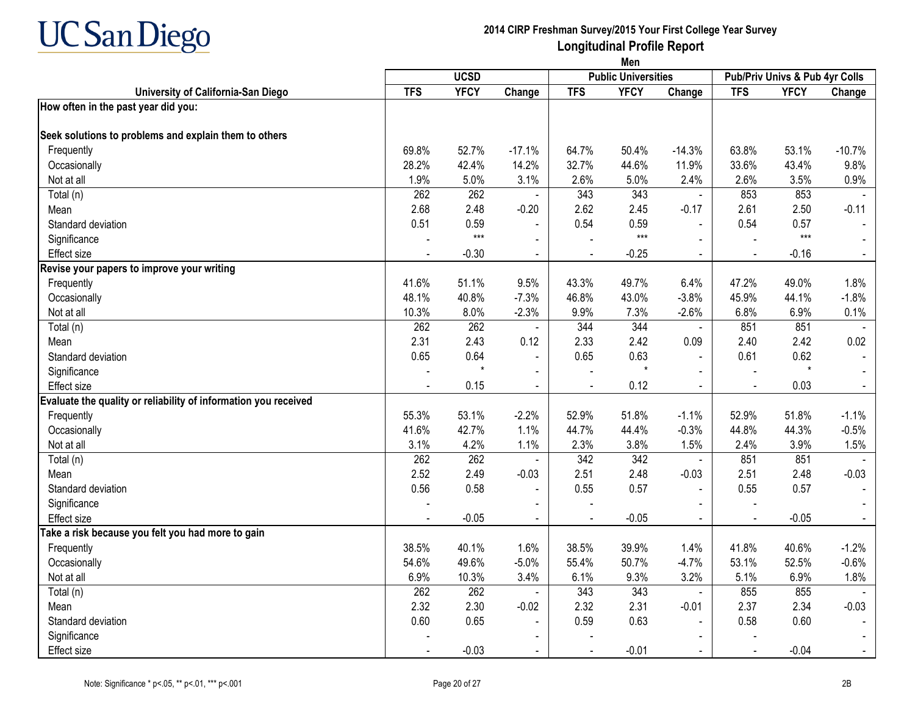

|                                                                 | Men        |             |                |                |                            |                          |                                |             |                |
|-----------------------------------------------------------------|------------|-------------|----------------|----------------|----------------------------|--------------------------|--------------------------------|-------------|----------------|
|                                                                 |            | <b>UCSD</b> |                |                | <b>Public Universities</b> |                          | Pub/Priv Univs & Pub 4yr Colls |             |                |
| University of California-San Diego                              | <b>TFS</b> | <b>YFCY</b> | Change         | <b>TFS</b>     | <b>YFCY</b>                | Change                   | <b>TFS</b>                     | <b>YFCY</b> | Change         |
| How often in the past year did you:                             |            |             |                |                |                            |                          |                                |             |                |
| Seek solutions to problems and explain them to others           |            |             |                |                |                            |                          |                                |             |                |
| Frequently                                                      | 69.8%      | 52.7%       | $-17.1%$       | 64.7%          | 50.4%                      | $-14.3%$                 | 63.8%                          | 53.1%       | $-10.7%$       |
| Occasionally                                                    | 28.2%      | 42.4%       | 14.2%          | 32.7%          | 44.6%                      | 11.9%                    | 33.6%                          | 43.4%       | 9.8%           |
| Not at all                                                      | 1.9%       | 5.0%        | 3.1%           | 2.6%           | 5.0%                       | 2.4%                     | 2.6%                           | 3.5%        | 0.9%           |
| Total (n)                                                       | 262        | 262         |                | 343            | 343                        | $\blacksquare$           | 853                            | 853         |                |
| Mean                                                            | 2.68       | 2.48        | $-0.20$        | 2.62           | 2.45                       | $-0.17$                  | 2.61                           | 2.50        | $-0.11$        |
| Standard deviation                                              | 0.51       | 0.59        | $\blacksquare$ | 0.54           | 0.59                       | $\overline{a}$           | 0.54                           | 0.57        | $\sim$         |
| Significance                                                    |            | $***$       |                |                | $***$                      |                          |                                | $***$       |                |
| <b>Effect size</b>                                              |            | $-0.30$     |                |                | $-0.25$                    |                          |                                | $-0.16$     | $\sim$         |
| Revise your papers to improve your writing                      |            |             |                |                |                            |                          |                                |             |                |
| Frequently                                                      | 41.6%      | 51.1%       | 9.5%           | 43.3%          | 49.7%                      | 6.4%                     | 47.2%                          | 49.0%       | 1.8%           |
| Occasionally                                                    | 48.1%      | 40.8%       | $-7.3%$        | 46.8%          | 43.0%                      | $-3.8%$                  | 45.9%                          | 44.1%       | $-1.8%$        |
| Not at all                                                      | 10.3%      | 8.0%        | $-2.3%$        | 9.9%           | 7.3%                       | $-2.6%$                  | 6.8%                           | 6.9%        | 0.1%           |
| Total (n)                                                       | 262        | 262         |                | 344            | 344                        | $\blacksquare$           | 851                            | 851         |                |
| Mean                                                            | 2.31       | 2.43        | 0.12           | 2.33           | 2.42                       | 0.09                     | 2.40                           | 2.42        | 0.02           |
| Standard deviation                                              | 0.65       | 0.64        | $\mathbf{r}$   | 0.65           | 0.63                       | $\sim$                   | 0.61                           | 0.62        |                |
| Significance                                                    |            | $\star$     | $\blacksquare$ |                | $\star$                    | $\blacksquare$           |                                | $\star$     |                |
| <b>Effect size</b>                                              |            | 0.15        |                |                | 0.12                       |                          | $\overline{a}$                 | 0.03        | $\blacksquare$ |
| Evaluate the quality or reliability of information you received |            |             |                |                |                            |                          |                                |             |                |
| Frequently                                                      | 55.3%      | 53.1%       | $-2.2%$        | 52.9%          | 51.8%                      | $-1.1%$                  | 52.9%                          | 51.8%       | $-1.1%$        |
| Occasionally                                                    | 41.6%      | 42.7%       | 1.1%           | 44.7%          | 44.4%                      | $-0.3%$                  | 44.8%                          | 44.3%       | $-0.5%$        |
| Not at all                                                      | 3.1%       | 4.2%        | 1.1%           | 2.3%           | 3.8%                       | 1.5%                     | 2.4%                           | 3.9%        | 1.5%           |
| Total (n)                                                       | 262        | 262         | $\blacksquare$ | 342            | 342                        | $\blacksquare$           | 851                            | 851         |                |
| Mean                                                            | 2.52       | 2.49        | $-0.03$        | 2.51           | 2.48                       | $-0.03$                  | 2.51                           | 2.48        | $-0.03$        |
| Standard deviation                                              | 0.56       | 0.58        | $\blacksquare$ | 0.55           | 0.57                       | $\blacksquare$           | 0.55                           | 0.57        | $\blacksquare$ |
| Significance                                                    |            |             |                |                |                            |                          |                                |             |                |
| Effect size                                                     | $\sim$     | $-0.05$     | $\sim$         | $\blacksquare$ | $-0.05$                    | $\blacksquare$           | $\blacksquare$                 | $-0.05$     | $\blacksquare$ |
| Take a risk because you felt you had more to gain               |            |             |                |                |                            |                          |                                |             |                |
| Frequently                                                      | 38.5%      | 40.1%       | 1.6%           | 38.5%          | 39.9%                      | 1.4%                     | 41.8%                          | 40.6%       | $-1.2%$        |
| Occasionally                                                    | 54.6%      | 49.6%       | $-5.0%$        | 55.4%          | 50.7%                      | $-4.7%$                  | 53.1%                          | 52.5%       | $-0.6%$        |
| Not at all                                                      | 6.9%       | 10.3%       | 3.4%           | 6.1%           | 9.3%                       | 3.2%                     | 5.1%                           | 6.9%        | 1.8%           |
| Total (n)                                                       | 262        | 262         |                | 343            | 343                        | $\blacksquare$           | 855                            | 855         | $\sim$         |
| Mean                                                            | 2.32       | 2.30        | $-0.02$        | 2.32           | 2.31                       | $-0.01$                  | 2.37                           | 2.34        | $-0.03$        |
| Standard deviation                                              | 0.60       | 0.65        | $\blacksquare$ | 0.59           | 0.63                       | $\overline{\phantom{a}}$ | 0.58                           | 0.60        |                |
| Significance                                                    |            |             |                |                |                            |                          |                                |             |                |
| Effect size                                                     |            | $-0.03$     | $\blacksquare$ |                | $-0.01$                    |                          |                                | $-0.04$     | $\sim$         |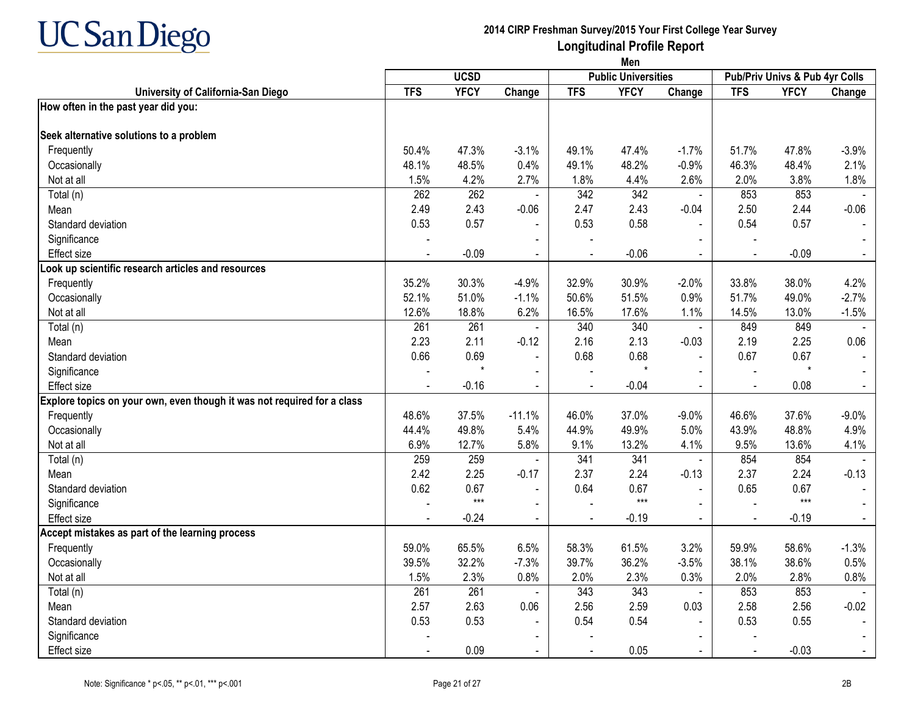

|                                                                         | Men        |             |                |                |                            |                |                |                                |         |
|-------------------------------------------------------------------------|------------|-------------|----------------|----------------|----------------------------|----------------|----------------|--------------------------------|---------|
|                                                                         |            | <b>UCSD</b> |                |                | <b>Public Universities</b> |                |                | Pub/Priv Univs & Pub 4yr Colls |         |
| University of California-San Diego                                      | <b>TFS</b> | <b>YFCY</b> | Change         | <b>TFS</b>     | <b>YFCY</b>                | Change         | <b>TFS</b>     | <b>YFCY</b>                    | Change  |
| How often in the past year did you:                                     |            |             |                |                |                            |                |                |                                |         |
| Seek alternative solutions to a problem                                 |            |             |                |                |                            |                |                |                                |         |
| Frequently                                                              | 50.4%      | 47.3%       | $-3.1%$        | 49.1%          | 47.4%                      | $-1.7%$        | 51.7%          | 47.8%                          | $-3.9%$ |
| Occasionally                                                            | 48.1%      | 48.5%       | 0.4%           | 49.1%          | 48.2%                      | $-0.9%$        | 46.3%          | 48.4%                          | 2.1%    |
| Not at all                                                              | 1.5%       | 4.2%        | 2.7%           | 1.8%           | 4.4%                       | 2.6%           | 2.0%           | 3.8%                           | 1.8%    |
| Total (n)                                                               | 262        | 262         |                | 342            | 342                        | $\blacksquare$ | 853            | 853                            |         |
| Mean                                                                    | 2.49       | 2.43        | $-0.06$        | 2.47           | 2.43                       | $-0.04$        | 2.50           | 2.44                           | $-0.06$ |
| Standard deviation                                                      | 0.53       | 0.57        | $\blacksquare$ | 0.53           | 0.58                       | $\blacksquare$ | 0.54           | 0.57                           |         |
| Significance                                                            |            |             | $\blacksquare$ |                |                            |                |                |                                |         |
| <b>Effect size</b>                                                      |            | $-0.09$     | $\blacksquare$ |                | $-0.06$                    | $\blacksquare$ | $\overline{a}$ | $-0.09$                        |         |
| Look up scientific research articles and resources                      |            |             |                |                |                            |                |                |                                |         |
| Frequently                                                              | 35.2%      | 30.3%       | $-4.9%$        | 32.9%          | 30.9%                      | $-2.0%$        | 33.8%          | 38.0%                          | 4.2%    |
| Occasionally                                                            | 52.1%      | 51.0%       | $-1.1%$        | 50.6%          | 51.5%                      | 0.9%           | 51.7%          | 49.0%                          | $-2.7%$ |
| Not at all                                                              | 12.6%      | 18.8%       | 6.2%           | 16.5%          | 17.6%                      | 1.1%           | 14.5%          | 13.0%                          | $-1.5%$ |
| Total (n)                                                               | 261        | 261         | $\blacksquare$ | 340            | 340                        | $\blacksquare$ | 849            | 849                            |         |
| Mean                                                                    | 2.23       | 2.11        | $-0.12$        | 2.16           | 2.13                       | $-0.03$        | 2.19           | 2.25                           | 0.06    |
| Standard deviation                                                      | 0.66       | 0.69        | $\blacksquare$ | 0.68           | 0.68                       | $\sim$         | 0.67           | 0.67                           |         |
| Significance                                                            |            | $\star$     |                |                |                            |                |                | $\star$                        |         |
| <b>Effect size</b>                                                      |            | $-0.16$     | $\blacksquare$ |                | $-0.04$                    | $\sim$         |                | 0.08                           |         |
| Explore topics on your own, even though it was not required for a class |            |             |                |                |                            |                |                |                                |         |
| Frequently                                                              | 48.6%      | 37.5%       | $-11.1%$       | 46.0%          | 37.0%                      | $-9.0%$        | 46.6%          | 37.6%                          | $-9.0%$ |
| Occasionally                                                            | 44.4%      | 49.8%       | 5.4%           | 44.9%          | 49.9%                      | 5.0%           | 43.9%          | 48.8%                          | 4.9%    |
| Not at all                                                              | 6.9%       | 12.7%       | 5.8%           | 9.1%           | 13.2%                      | 4.1%           | 9.5%           | 13.6%                          | 4.1%    |
| Total (n)                                                               | 259        | 259         | $\sim$         | 341            | 341                        | $\blacksquare$ | 854            | 854                            |         |
| Mean                                                                    | 2.42       | 2.25        | $-0.17$        | 2.37           | 2.24                       | $-0.13$        | 2.37           | 2.24                           | $-0.13$ |
| Standard deviation                                                      | 0.62       | 0.67        | $\blacksquare$ | 0.64           | 0.67                       |                | 0.65           | 0.67                           |         |
| Significance                                                            |            | $***$       | $\blacksquare$ |                | $***$                      | $\sim$         | $\overline{a}$ | $***$                          |         |
| <b>Effect size</b>                                                      |            | $-0.24$     | $\blacksquare$ | $\blacksquare$ | $-0.19$                    | $\sim$         | $\sim$         | $-0.19$                        |         |
| Accept mistakes as part of the learning process                         |            |             |                |                |                            |                |                |                                |         |
| Frequently                                                              | 59.0%      | 65.5%       | 6.5%           | 58.3%          | 61.5%                      | 3.2%           | 59.9%          | 58.6%                          | $-1.3%$ |
| Occasionally                                                            | 39.5%      | 32.2%       | $-7.3%$        | 39.7%          | 36.2%                      | $-3.5%$        | 38.1%          | 38.6%                          | 0.5%    |
| Not at all                                                              | 1.5%       | 2.3%        | 0.8%           | 2.0%           | 2.3%                       | 0.3%           | 2.0%           | 2.8%                           | 0.8%    |
| Total (n)                                                               | 261        | 261         | $\blacksquare$ | 343            | 343                        | $\blacksquare$ | 853            | 853                            |         |
| Mean                                                                    | 2.57       | 2.63        | 0.06           | 2.56           | 2.59                       | 0.03           | 2.58           | 2.56                           | $-0.02$ |
| Standard deviation                                                      | 0.53       | 0.53        | $\blacksquare$ | 0.54           | 0.54                       |                | 0.53           | 0.55                           |         |
| Significance                                                            |            |             |                |                |                            | $\blacksquare$ |                |                                |         |
| Effect size                                                             |            | 0.09        | $\blacksquare$ |                | 0.05                       |                |                | $-0.03$                        |         |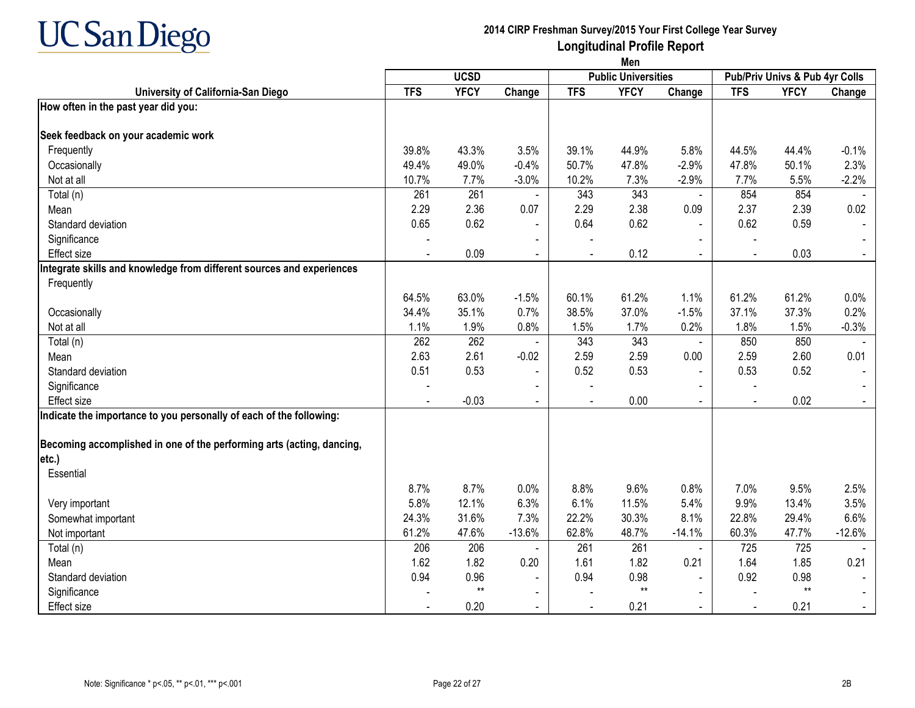

|                                                                       | Men        |             |                          |            |                            |                |                                |             |          |
|-----------------------------------------------------------------------|------------|-------------|--------------------------|------------|----------------------------|----------------|--------------------------------|-------------|----------|
|                                                                       |            | <b>UCSD</b> |                          |            | <b>Public Universities</b> |                | Pub/Priv Univs & Pub 4yr Colls |             |          |
| University of California-San Diego                                    | <b>TFS</b> | <b>YFCY</b> | Change                   | <b>TFS</b> | <b>YFCY</b>                | Change         | <b>TFS</b>                     | <b>YFCY</b> | Change   |
| How often in the past year did you:                                   |            |             |                          |            |                            |                |                                |             |          |
| Seek feedback on your academic work                                   |            |             |                          |            |                            |                |                                |             |          |
| Frequently                                                            | 39.8%      | 43.3%       | 3.5%                     | 39.1%      | 44.9%                      | 5.8%           | 44.5%                          | 44.4%       | $-0.1%$  |
| Occasionally                                                          | 49.4%      | 49.0%       | $-0.4%$                  | 50.7%      | 47.8%                      | $-2.9%$        | 47.8%                          | 50.1%       | 2.3%     |
| Not at all                                                            | 10.7%      | 7.7%        | $-3.0%$                  | 10.2%      | 7.3%                       | $-2.9%$        | 7.7%                           | 5.5%        | $-2.2%$  |
| Total (n)                                                             | 261        | 261         | $\sim$                   | 343        | 343                        | $\sim$         | 854                            | 854         |          |
| Mean                                                                  | 2.29       | 2.36        | 0.07                     | 2.29       | 2.38                       | 0.09           | 2.37                           | 2.39        | 0.02     |
| Standard deviation                                                    | 0.65       | 0.62        | $\blacksquare$           | 0.64       | 0.62                       | $\sim$         | 0.62                           | 0.59        |          |
| Significance                                                          |            |             | $\blacksquare$           |            |                            |                | $\blacksquare$                 |             |          |
| <b>Effect size</b>                                                    |            | 0.09        | $\blacksquare$           |            | 0.12                       | $\sim$         | $\overline{\phantom{a}}$       | 0.03        |          |
| Integrate skills and knowledge from different sources and experiences |            |             |                          |            |                            |                |                                |             |          |
| Frequently                                                            |            |             |                          |            |                            |                |                                |             |          |
|                                                                       | 64.5%      | 63.0%       | $-1.5%$                  | 60.1%      | 61.2%                      | 1.1%           | 61.2%                          | 61.2%       | 0.0%     |
| Occasionally                                                          | 34.4%      | 35.1%       | 0.7%                     | 38.5%      | 37.0%                      | $-1.5%$        | 37.1%                          | 37.3%       | 0.2%     |
| Not at all                                                            | 1.1%       | 1.9%        | 0.8%                     | 1.5%       | 1.7%                       | 0.2%           | 1.8%                           | 1.5%        | $-0.3%$  |
| Total (n)                                                             | 262        | 262         | $\overline{\phantom{a}}$ | 343        | 343                        | $\blacksquare$ | 850                            | 850         |          |
| Mean                                                                  | 2.63       | 2.61        | $-0.02$                  | 2.59       | 2.59                       | 0.00           | 2.59                           | 2.60        | 0.01     |
| Standard deviation                                                    | 0.51       | 0.53        | $\blacksquare$           | 0.52       | 0.53                       |                | 0.53                           | 0.52        |          |
| Significance                                                          |            |             |                          |            |                            |                |                                |             |          |
| <b>Effect size</b>                                                    |            | $-0.03$     | $\blacksquare$           |            | 0.00                       |                |                                | 0.02        |          |
| Indicate the importance to you personally of each of the following:   |            |             |                          |            |                            |                |                                |             |          |
| Becoming accomplished in one of the performing arts (acting, dancing, |            |             |                          |            |                            |                |                                |             |          |
| etc.)                                                                 |            |             |                          |            |                            |                |                                |             |          |
| Essential                                                             |            |             |                          |            |                            |                |                                |             |          |
|                                                                       | 8.7%       | 8.7%        | 0.0%                     | 8.8%       | 9.6%                       | 0.8%           | 7.0%                           | 9.5%        | 2.5%     |
| Very important                                                        | 5.8%       | 12.1%       | 6.3%                     | 6.1%       | 11.5%                      | 5.4%           | 9.9%                           | 13.4%       | 3.5%     |
| Somewhat important                                                    | 24.3%      | 31.6%       | 7.3%                     | 22.2%      | 30.3%                      | 8.1%           | 22.8%                          | 29.4%       | 6.6%     |
| Not important                                                         | 61.2%      | 47.6%       | $-13.6%$                 | 62.8%      | 48.7%                      | $-14.1%$       | 60.3%                          | 47.7%       | $-12.6%$ |
| Total (n)                                                             | 206        | 206         |                          | 261        | 261                        | $\sim$         | 725                            | 725         |          |
| Mean                                                                  | 1.62       | 1.82        | 0.20                     | 1.61       | 1.82                       | 0.21           | 1.64                           | 1.85        | 0.21     |
| Standard deviation                                                    | 0.94       | 0.96        | $\blacksquare$           | 0.94       | 0.98                       |                | 0.92                           | 0.98        |          |
| Significance                                                          |            | $**$        |                          |            | $**$                       |                |                                | $**$        |          |
| <b>Effect size</b>                                                    |            | 0.20        | $\blacksquare$           |            | 0.21                       |                |                                | 0.21        |          |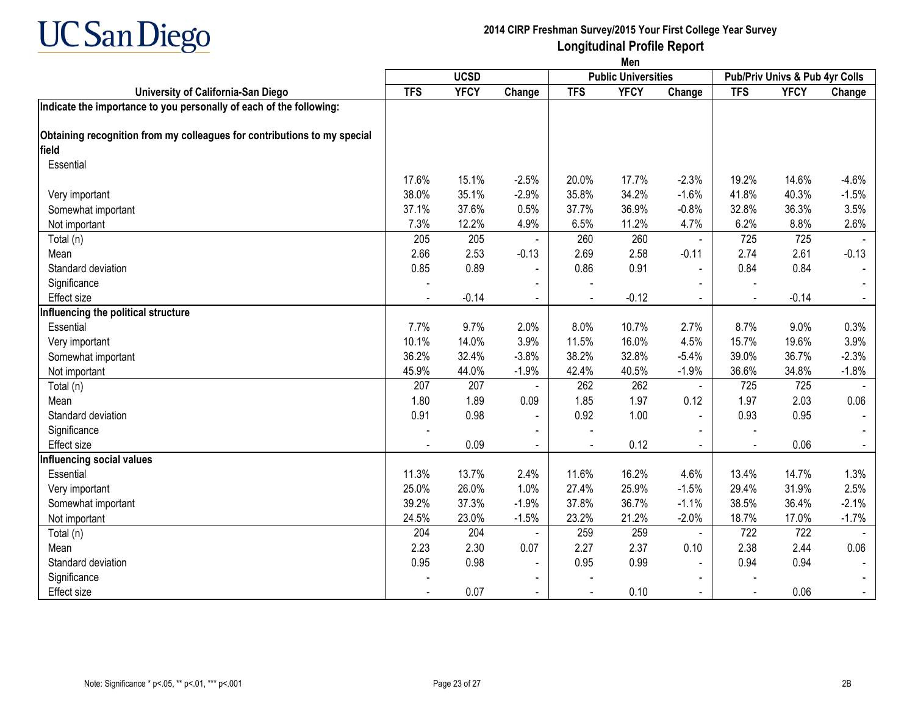

|                                                                          | Men        |             |                          |            |                            |                          |                                |             |         |  |
|--------------------------------------------------------------------------|------------|-------------|--------------------------|------------|----------------------------|--------------------------|--------------------------------|-------------|---------|--|
|                                                                          |            | <b>UCSD</b> |                          |            | <b>Public Universities</b> |                          | Pub/Priv Univs & Pub 4yr Colls |             |         |  |
| University of California-San Diego                                       | <b>TFS</b> | <b>YFCY</b> | Change                   | <b>TFS</b> | <b>YFCY</b>                | Change                   | <b>TFS</b>                     | <b>YFCY</b> | Change  |  |
| Indicate the importance to you personally of each of the following:      |            |             |                          |            |                            |                          |                                |             |         |  |
| Obtaining recognition from my colleagues for contributions to my special |            |             |                          |            |                            |                          |                                |             |         |  |
| field                                                                    |            |             |                          |            |                            |                          |                                |             |         |  |
| Essential                                                                |            |             |                          |            |                            |                          |                                |             |         |  |
|                                                                          | 17.6%      | 15.1%       | $-2.5%$                  | 20.0%      | 17.7%                      | $-2.3%$                  | 19.2%                          | 14.6%       | $-4.6%$ |  |
| Very important                                                           | 38.0%      | 35.1%       | $-2.9%$                  | 35.8%      | 34.2%                      | $-1.6%$                  | 41.8%                          | 40.3%       | $-1.5%$ |  |
| Somewhat important                                                       | 37.1%      | 37.6%       | 0.5%                     | 37.7%      | 36.9%                      | $-0.8%$                  | 32.8%                          | 36.3%       | 3.5%    |  |
| Not important                                                            | 7.3%       | 12.2%       | 4.9%                     | 6.5%       | 11.2%                      | 4.7%                     | 6.2%                           | 8.8%        | 2.6%    |  |
| Total (n)                                                                | 205        | 205         |                          | 260        | 260                        | $\blacksquare$           | 725                            | 725         |         |  |
| Mean                                                                     | 2.66       | 2.53        | $-0.13$                  | 2.69       | 2.58                       | $-0.11$                  | 2.74                           | 2.61        | $-0.13$ |  |
| Standard deviation                                                       | 0.85       | 0.89        |                          | 0.86       | 0.91                       | $\overline{\phantom{a}}$ | 0.84                           | 0.84        |         |  |
| Significance                                                             |            |             |                          |            |                            |                          |                                |             |         |  |
| <b>Effect size</b>                                                       |            | $-0.14$     |                          |            | $-0.12$                    | $\blacksquare$           |                                | $-0.14$     |         |  |
| Influencing the political structure                                      |            |             |                          |            |                            |                          |                                |             |         |  |
| Essential                                                                | 7.7%       | 9.7%        | 2.0%                     | 8.0%       | 10.7%                      | 2.7%                     | 8.7%                           | 9.0%        | 0.3%    |  |
| Very important                                                           | 10.1%      | 14.0%       | 3.9%                     | 11.5%      | 16.0%                      | 4.5%                     | 15.7%                          | 19.6%       | 3.9%    |  |
| Somewhat important                                                       | 36.2%      | 32.4%       | $-3.8%$                  | 38.2%      | 32.8%                      | $-5.4%$                  | 39.0%                          | 36.7%       | $-2.3%$ |  |
| Not important                                                            | 45.9%      | 44.0%       | $-1.9%$                  | 42.4%      | 40.5%                      | $-1.9%$                  | 36.6%                          | 34.8%       | $-1.8%$ |  |
| Total (n)                                                                | 207        | 207         |                          | 262        | 262                        | $\blacksquare$           | 725                            | 725         |         |  |
| Mean                                                                     | 1.80       | 1.89        | 0.09                     | 1.85       | 1.97                       | 0.12                     | 1.97                           | 2.03        | 0.06    |  |
| Standard deviation                                                       | 0.91       | 0.98        | $\blacksquare$           | 0.92       | 1.00                       | ÷,                       | 0.93                           | 0.95        |         |  |
| Significance                                                             |            |             |                          |            |                            | L,                       |                                |             |         |  |
| <b>Effect size</b>                                                       |            | 0.09        |                          |            | 0.12                       |                          |                                | 0.06        |         |  |
| <b>Influencing social values</b>                                         |            |             |                          |            |                            |                          |                                |             |         |  |
| Essential                                                                | 11.3%      | 13.7%       | 2.4%                     | 11.6%      | 16.2%                      | 4.6%                     | 13.4%                          | 14.7%       | 1.3%    |  |
| Very important                                                           | 25.0%      | 26.0%       | 1.0%                     | 27.4%      | 25.9%                      | $-1.5%$                  | 29.4%                          | 31.9%       | 2.5%    |  |
| Somewhat important                                                       | 39.2%      | 37.3%       | $-1.9%$                  | 37.8%      | 36.7%                      | $-1.1%$                  | 38.5%                          | 36.4%       | $-2.1%$ |  |
| Not important                                                            | 24.5%      | 23.0%       | $-1.5%$                  | 23.2%      | 21.2%                      | $-2.0%$                  | 18.7%                          | 17.0%       | $-1.7%$ |  |
| Total (n)                                                                | 204        | 204         |                          | 259        | 259                        | $\blacksquare$           | 722                            | 722         |         |  |
| Mean                                                                     | 2.23       | 2.30        | 0.07                     | 2.27       | 2.37                       | 0.10                     | 2.38                           | 2.44        | 0.06    |  |
| Standard deviation                                                       | 0.95       | 0.98        | $\overline{\phantom{a}}$ | 0.95       | 0.99                       |                          | 0.94                           | 0.94        |         |  |
| Significance                                                             |            |             |                          |            |                            |                          |                                |             |         |  |
| Effect size                                                              |            | 0.07        | $\blacksquare$           |            | 0.10                       | $\blacksquare$           |                                | 0.06        |         |  |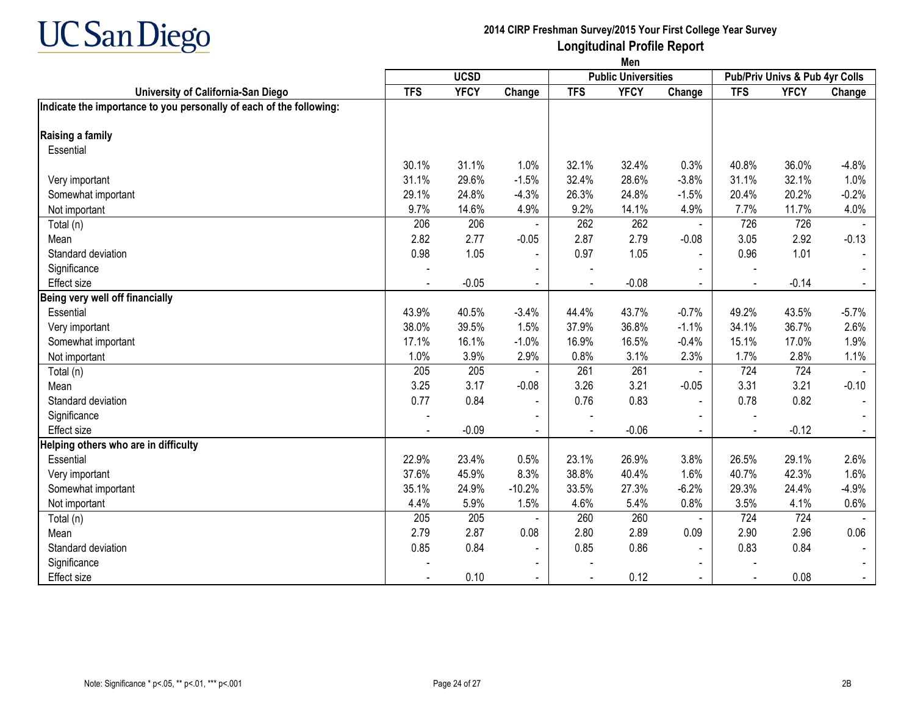

|                                                                     | Men        |             |                |                |                            |                |                                |             |         |  |
|---------------------------------------------------------------------|------------|-------------|----------------|----------------|----------------------------|----------------|--------------------------------|-------------|---------|--|
|                                                                     |            | <b>UCSD</b> |                |                | <b>Public Universities</b> |                | Pub/Priv Univs & Pub 4yr Colls |             |         |  |
| University of California-San Diego                                  | <b>TFS</b> | <b>YFCY</b> | Change         | <b>TFS</b>     | <b>YFCY</b>                | Change         | <b>TFS</b>                     | <b>YFCY</b> | Change  |  |
| Indicate the importance to you personally of each of the following: |            |             |                |                |                            |                |                                |             |         |  |
| Raising a family                                                    |            |             |                |                |                            |                |                                |             |         |  |
| Essential                                                           |            |             |                |                |                            |                |                                |             |         |  |
|                                                                     | 30.1%      | 31.1%       | 1.0%           | 32.1%          | 32.4%                      | 0.3%           | 40.8%                          | 36.0%       | $-4.8%$ |  |
| Very important                                                      | 31.1%      | 29.6%       | $-1.5%$        | 32.4%          | 28.6%                      | $-3.8%$        | 31.1%                          | 32.1%       | 1.0%    |  |
| Somewhat important                                                  | 29.1%      | 24.8%       | $-4.3%$        | 26.3%          | 24.8%                      | $-1.5%$        | 20.4%                          | 20.2%       | $-0.2%$ |  |
| Not important                                                       | 9.7%       | 14.6%       | 4.9%           | 9.2%           | 14.1%                      | 4.9%           | 7.7%                           | 11.7%       | 4.0%    |  |
| Total (n)                                                           | 206        | 206         |                | 262            | 262                        | $\blacksquare$ | 726                            | 726         |         |  |
| Mean                                                                | 2.82       | 2.77        | $-0.05$        | 2.87           | 2.79                       | $-0.08$        | 3.05                           | 2.92        | $-0.13$ |  |
| Standard deviation                                                  | 0.98       | 1.05        |                | 0.97           | 1.05                       | $\blacksquare$ | 0.96                           | 1.01        |         |  |
| Significance                                                        |            |             |                |                |                            |                |                                |             |         |  |
| <b>Effect size</b>                                                  |            | $-0.05$     |                | $\blacksquare$ | $-0.08$                    |                |                                | $-0.14$     |         |  |
| Being very well off financially                                     |            |             |                |                |                            |                |                                |             |         |  |
| Essential                                                           | 43.9%      | 40.5%       | $-3.4%$        | 44.4%          | 43.7%                      | $-0.7%$        | 49.2%                          | 43.5%       | $-5.7%$ |  |
| Very important                                                      | 38.0%      | 39.5%       | 1.5%           | 37.9%          | 36.8%                      | $-1.1%$        | 34.1%                          | 36.7%       | 2.6%    |  |
| Somewhat important                                                  | 17.1%      | 16.1%       | $-1.0%$        | 16.9%          | 16.5%                      | $-0.4%$        | 15.1%                          | 17.0%       | 1.9%    |  |
| Not important                                                       | 1.0%       | 3.9%        | 2.9%           | 0.8%           | 3.1%                       | 2.3%           | 1.7%                           | 2.8%        | 1.1%    |  |
| Total (n)                                                           | 205        | 205         | $\blacksquare$ | 261            | 261                        | $\blacksquare$ | 724                            | 724         |         |  |
| Mean                                                                | 3.25       | 3.17        | $-0.08$        | 3.26           | 3.21                       | $-0.05$        | 3.31                           | 3.21        | $-0.10$ |  |
| Standard deviation                                                  | 0.77       | 0.84        | $\blacksquare$ | 0.76           | 0.83                       | $\blacksquare$ | 0.78                           | 0.82        |         |  |
| Significance                                                        |            |             |                |                |                            |                |                                |             |         |  |
| Effect size                                                         |            | $-0.09$     |                |                | $-0.06$                    | $\blacksquare$ |                                | $-0.12$     |         |  |
| Helping others who are in difficulty                                |            |             |                |                |                            |                |                                |             |         |  |
| Essential                                                           | 22.9%      | 23.4%       | 0.5%           | 23.1%          | 26.9%                      | 3.8%           | 26.5%                          | 29.1%       | 2.6%    |  |
| Very important                                                      | 37.6%      | 45.9%       | 8.3%           | 38.8%          | 40.4%                      | 1.6%           | 40.7%                          | 42.3%       | 1.6%    |  |
| Somewhat important                                                  | 35.1%      | 24.9%       | $-10.2%$       | 33.5%          | 27.3%                      | $-6.2%$        | 29.3%                          | 24.4%       | $-4.9%$ |  |
| Not important                                                       | 4.4%       | 5.9%        | 1.5%           | 4.6%           | 5.4%                       | 0.8%           | 3.5%                           | 4.1%        | 0.6%    |  |
| Total (n)                                                           | 205        | 205         |                | 260            | 260                        | $\sim$         | 724                            | 724         |         |  |
| Mean                                                                | 2.79       | 2.87        | 0.08           | 2.80           | 2.89                       | 0.09           | 2.90                           | 2.96        | 0.06    |  |
| Standard deviation                                                  | 0.85       | 0.84        | $\sim$         | 0.85           | 0.86                       | L,             | 0.83                           | 0.84        |         |  |
| Significance                                                        |            |             |                |                |                            |                |                                |             |         |  |
| <b>Effect size</b>                                                  |            | 0.10        | $\sim$         |                | 0.12                       | $\blacksquare$ | $\blacksquare$                 | 0.08        |         |  |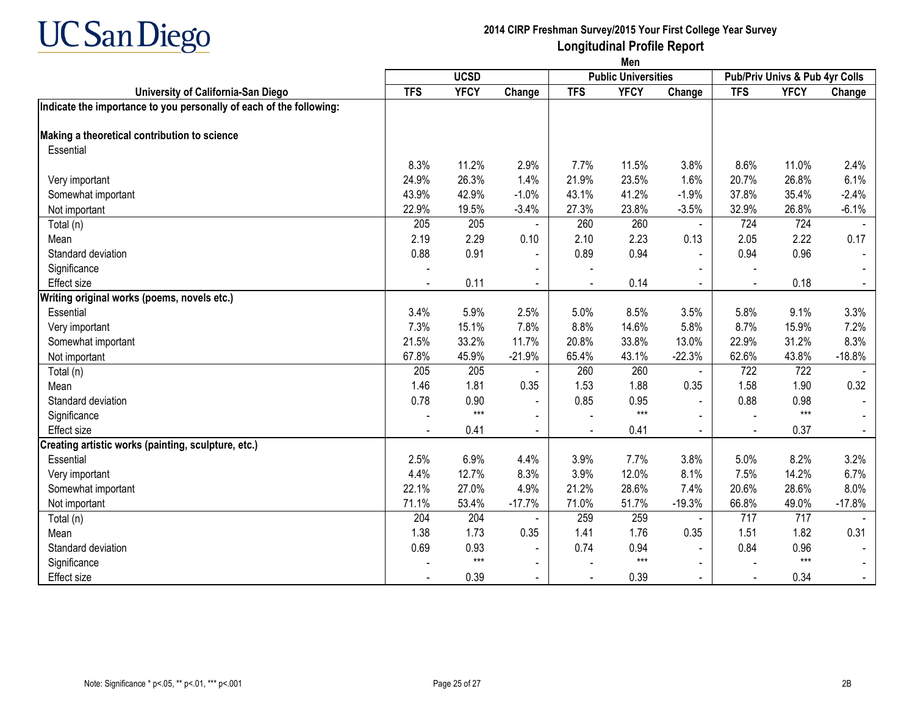

|                                                                     | Men         |             |                |            |                            |                |                                |             |          |
|---------------------------------------------------------------------|-------------|-------------|----------------|------------|----------------------------|----------------|--------------------------------|-------------|----------|
|                                                                     | <b>UCSD</b> |             |                |            | <b>Public Universities</b> |                | Pub/Priv Univs & Pub 4yr Colls |             |          |
| University of California-San Diego                                  | <b>TFS</b>  | <b>YFCY</b> | Change         | <b>TFS</b> | <b>YFCY</b>                | Change         | <b>TFS</b>                     | <b>YFCY</b> | Change   |
| Indicate the importance to you personally of each of the following: |             |             |                |            |                            |                |                                |             |          |
| Making a theoretical contribution to science                        |             |             |                |            |                            |                |                                |             |          |
| Essential                                                           |             |             |                |            |                            |                |                                |             |          |
|                                                                     | 8.3%        | 11.2%       | 2.9%           | 7.7%       | 11.5%                      | 3.8%           | 8.6%                           | 11.0%       | 2.4%     |
| Very important                                                      | 24.9%       | 26.3%       | 1.4%           | 21.9%      | 23.5%                      | 1.6%           | 20.7%                          | 26.8%       | 6.1%     |
| Somewhat important                                                  | 43.9%       | 42.9%       | $-1.0%$        | 43.1%      | 41.2%                      | $-1.9%$        | 37.8%                          | 35.4%       | $-2.4%$  |
| Not important                                                       | 22.9%       | 19.5%       | $-3.4%$        | 27.3%      | 23.8%                      | $-3.5%$        | 32.9%                          | 26.8%       | $-6.1%$  |
| Total (n)                                                           | 205         | 205         |                | 260        | 260                        | $\blacksquare$ | 724                            | 724         |          |
| Mean                                                                | 2.19        | 2.29        | 0.10           | 2.10       | 2.23                       | 0.13           | 2.05                           | 2.22        | 0.17     |
| Standard deviation                                                  | 0.88        | 0.91        | $\blacksquare$ | 0.89       | 0.94                       |                | 0.94                           | 0.96        |          |
| Significance                                                        |             |             |                |            |                            |                |                                |             |          |
| Effect size                                                         |             | 0.11        | $\blacksquare$ |            | 0.14                       | $\blacksquare$ | ÷,                             | 0.18        |          |
| Writing original works (poems, novels etc.)                         |             |             |                |            |                            |                |                                |             |          |
| Essential                                                           | 3.4%        | 5.9%        | 2.5%           | 5.0%       | 8.5%                       | 3.5%           | 5.8%                           | 9.1%        | 3.3%     |
| Very important                                                      | 7.3%        | 15.1%       | 7.8%           | 8.8%       | 14.6%                      | 5.8%           | 8.7%                           | 15.9%       | 7.2%     |
| Somewhat important                                                  | 21.5%       | 33.2%       | 11.7%          | 20.8%      | 33.8%                      | 13.0%          | 22.9%                          | 31.2%       | 8.3%     |
| Not important                                                       | 67.8%       | 45.9%       | $-21.9%$       | 65.4%      | 43.1%                      | $-22.3%$       | 62.6%                          | 43.8%       | $-18.8%$ |
| Total (n)                                                           | 205         | 205         |                | 260        | 260                        | $\blacksquare$ | 722                            | 722         |          |
| Mean                                                                | 1.46        | 1.81        | 0.35           | 1.53       | 1.88                       | 0.35           | 1.58                           | 1.90        | 0.32     |
| Standard deviation                                                  | 0.78        | 0.90        | $\blacksquare$ | 0.85       | 0.95                       | $\blacksquare$ | 0.88                           | 0.98        |          |
| Significance                                                        |             | $***$       | $\blacksquare$ |            | $***$                      |                | $\overline{a}$                 | $***$       |          |
| Effect size                                                         |             | 0.41        | $\sim$         |            | 0.41                       | $\blacksquare$ |                                | 0.37        |          |
| Creating artistic works (painting, sculpture, etc.)                 |             |             |                |            |                            |                |                                |             |          |
| Essential                                                           | 2.5%        | 6.9%        | 4.4%           | 3.9%       | 7.7%                       | 3.8%           | 5.0%                           | 8.2%        | 3.2%     |
| Very important                                                      | 4.4%        | 12.7%       | 8.3%           | 3.9%       | 12.0%                      | 8.1%           | 7.5%                           | 14.2%       | 6.7%     |
| Somewhat important                                                  | 22.1%       | 27.0%       | 4.9%           | 21.2%      | 28.6%                      | 7.4%           | 20.6%                          | 28.6%       | 8.0%     |
| Not important                                                       | 71.1%       | 53.4%       | $-17.7%$       | 71.0%      | 51.7%                      | $-19.3%$       | 66.8%                          | 49.0%       | $-17.8%$ |
| Total (n)                                                           | 204         | 204         | $\overline{a}$ | 259        | 259                        | $\blacksquare$ | 717                            | 717         |          |
| Mean                                                                | 1.38        | 1.73        | 0.35           | 1.41       | 1.76                       | 0.35           | 1.51                           | 1.82        | 0.31     |
| Standard deviation                                                  | 0.69        | 0.93        | $\blacksquare$ | 0.74       | 0.94                       |                | 0.84                           | 0.96        |          |
| Significance                                                        |             | $***$       | $\blacksquare$ |            | $***$                      | $\blacksquare$ |                                | $***$       |          |
| <b>Effect size</b>                                                  |             | 0.39        | $\sim$         |            | 0.39                       | $\sim$         | $\blacksquare$                 | 0.34        |          |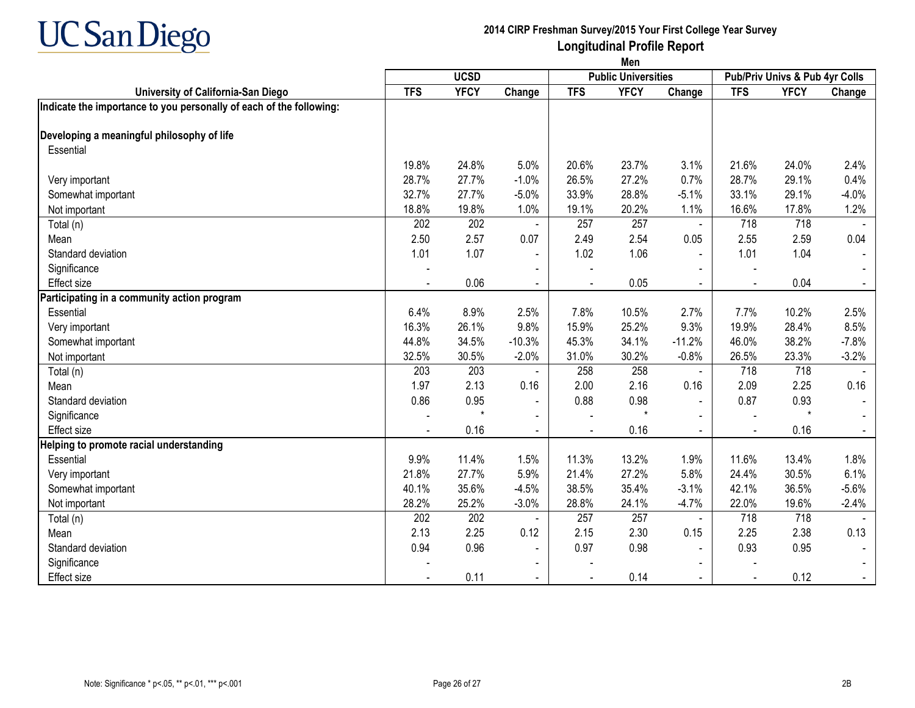

|                                                                     | Men        |             |                |            |                            |                |                                |             |         |  |
|---------------------------------------------------------------------|------------|-------------|----------------|------------|----------------------------|----------------|--------------------------------|-------------|---------|--|
| University of California-San Diego                                  |            | <b>UCSD</b> |                |            | <b>Public Universities</b> |                | Pub/Priv Univs & Pub 4yr Colls |             |         |  |
|                                                                     | <b>TFS</b> | <b>YFCY</b> | Change         | <b>TFS</b> | <b>YFCY</b>                | Change         | <b>TFS</b>                     | <b>YFCY</b> | Change  |  |
| Indicate the importance to you personally of each of the following: |            |             |                |            |                            |                |                                |             |         |  |
| Developing a meaningful philosophy of life                          |            |             |                |            |                            |                |                                |             |         |  |
| Essential                                                           |            |             |                |            |                            |                |                                |             |         |  |
|                                                                     | 19.8%      | 24.8%       | 5.0%           | 20.6%      | 23.7%                      | 3.1%           | 21.6%                          | 24.0%       | 2.4%    |  |
| Very important                                                      | 28.7%      | 27.7%       | $-1.0%$        | 26.5%      | 27.2%                      | 0.7%           | 28.7%                          | 29.1%       | 0.4%    |  |
| Somewhat important                                                  | 32.7%      | 27.7%       | $-5.0%$        | 33.9%      | 28.8%                      | $-5.1%$        | 33.1%                          | 29.1%       | $-4.0%$ |  |
| Not important                                                       | 18.8%      | 19.8%       | 1.0%           | 19.1%      | 20.2%                      | 1.1%           | 16.6%                          | 17.8%       | 1.2%    |  |
| Total (n)                                                           | 202        | 202         |                | 257        | 257                        | $\blacksquare$ | 718                            | 718         |         |  |
| Mean                                                                | 2.50       | 2.57        | 0.07           | 2.49       | 2.54                       | 0.05           | 2.55                           | 2.59        | 0.04    |  |
| Standard deviation                                                  | 1.01       | 1.07        |                | 1.02       | 1.06                       |                | 1.01                           | 1.04        |         |  |
| Significance                                                        |            |             |                |            |                            |                |                                |             |         |  |
| Effect size                                                         |            | 0.06        |                |            | 0.05                       |                |                                | 0.04        |         |  |
| Participating in a community action program                         |            |             |                |            |                            |                |                                |             |         |  |
| Essential                                                           | 6.4%       | 8.9%        | 2.5%           | 7.8%       | 10.5%                      | 2.7%           | 7.7%                           | 10.2%       | 2.5%    |  |
| Very important                                                      | 16.3%      | 26.1%       | 9.8%           | 15.9%      | 25.2%                      | 9.3%           | 19.9%                          | 28.4%       | 8.5%    |  |
| Somewhat important                                                  | 44.8%      | 34.5%       | $-10.3%$       | 45.3%      | 34.1%                      | $-11.2%$       | 46.0%                          | 38.2%       | $-7.8%$ |  |
| Not important                                                       | 32.5%      | 30.5%       | $-2.0%$        | 31.0%      | 30.2%                      | $-0.8%$        | 26.5%                          | 23.3%       | $-3.2%$ |  |
| Total (n)                                                           | 203        | 203         |                | 258        | 258                        | $\blacksquare$ | 718                            | 718         |         |  |
| Mean                                                                | 1.97       | 2.13        | 0.16           | 2.00       | 2.16                       | 0.16           | 2.09                           | 2.25        | 0.16    |  |
| Standard deviation                                                  | 0.86       | 0.95        | $\blacksquare$ | 0.88       | 0.98                       | $\blacksquare$ | 0.87                           | 0.93        |         |  |
| Significance                                                        |            |             |                |            | $\star$                    |                | $\overline{a}$                 | $\star$     |         |  |
| <b>Effect size</b>                                                  |            | 0.16        |                |            | 0.16                       | $\overline{a}$ |                                | 0.16        | $\sim$  |  |
| Helping to promote racial understanding                             |            |             |                |            |                            |                |                                |             |         |  |
| Essential                                                           | 9.9%       | 11.4%       | 1.5%           | 11.3%      | 13.2%                      | 1.9%           | 11.6%                          | 13.4%       | 1.8%    |  |
| Very important                                                      | 21.8%      | 27.7%       | 5.9%           | 21.4%      | 27.2%                      | 5.8%           | 24.4%                          | 30.5%       | 6.1%    |  |
| Somewhat important                                                  | 40.1%      | 35.6%       | $-4.5%$        | 38.5%      | 35.4%                      | $-3.1%$        | 42.1%                          | 36.5%       | $-5.6%$ |  |
| Not important                                                       | 28.2%      | 25.2%       | $-3.0%$        | 28.8%      | 24.1%                      | $-4.7%$        | 22.0%                          | 19.6%       | $-2.4%$ |  |
| Total (n)                                                           | 202        | 202         |                | 257        | 257                        | $\blacksquare$ | 718                            | 718         |         |  |
| Mean                                                                | 2.13       | 2.25        | 0.12           | 2.15       | 2.30                       | 0.15           | 2.25                           | 2.38        | 0.13    |  |
| Standard deviation                                                  | 0.94       | 0.96        | $\blacksquare$ | 0.97       | 0.98                       | $\blacksquare$ | 0.93                           | 0.95        |         |  |
| Significance                                                        |            |             |                |            |                            |                |                                |             |         |  |
| Effect size                                                         |            | 0.11        | $\sim$         |            | 0.14                       | $\overline{a}$ | $\sim$                         | 0.12        |         |  |